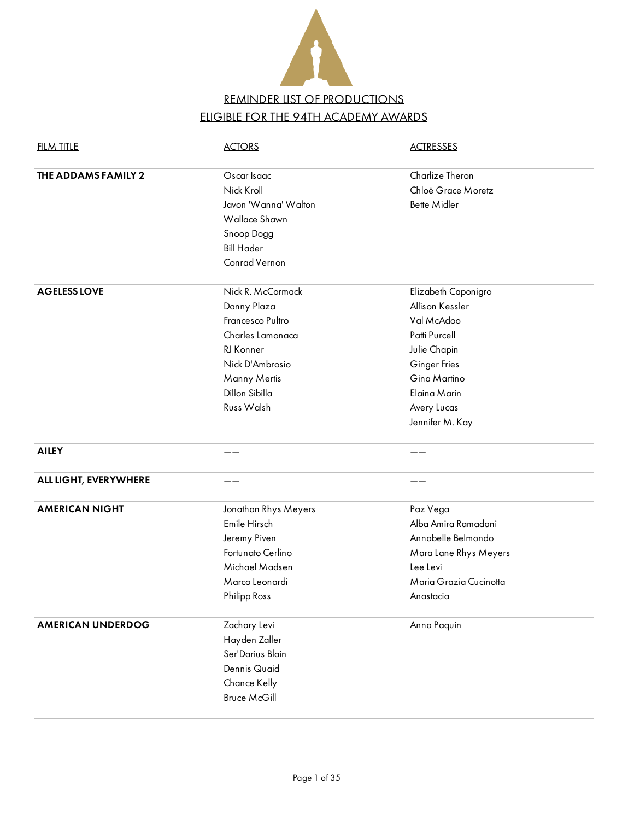

| Charlize Theron<br>Oscar Isaac<br>THE ADDAMS FAMILY 2<br>Chloë Grace Moretz<br>Nick Kroll<br>Javon 'Wanna' Walton<br>Bette Midler<br>Wallace Shawn<br>Snoop Dogg<br><b>Bill Hader</b><br>Conrad Vernon<br><b>AGELESS LOVE</b><br>Nick R. McCormack<br>Elizabeth Caponigro<br>Allison Kessler<br>Danny Plaza<br>Francesco Pultro<br>Val McAdoo<br>Charles Lamonaca<br>Patti Purcell<br>RJ Konner<br>Julie Chapin<br>Nick D'Ambrosio<br><b>Ginger Fries</b><br>Gina Martino<br>Manny Mertis<br>Dillon Sibilla<br>Elaina Marin<br>Russ Walsh<br>Avery Lucas<br>Jennifer M. Kay<br><b>AILEY</b><br><b>ALL LIGHT, EVERYWHERE</b><br><b>AMERICAN NIGHT</b><br>Jonathan Rhys Meyers<br>Paz Vega<br>Emile Hirsch<br>Alba Amira Ramadani<br>Annabelle Belmondo<br>Jeremy Piven<br>Fortunato Cerlino<br>Mara Lane Rhys Meyers<br>Michael Madsen<br>Lee Levi<br>Marco Leonardi<br>Maria Grazia Cucinotta<br><b>Philipp Ross</b><br>Anastacia<br><b>AMERICAN UNDERDOG</b><br>Zachary Levi<br>Anna Paquin<br>Hayden Zaller<br>Ser'Darius Blain<br>Dennis Quaid<br>Chance Kelly<br><b>Bruce McGill</b> | <b>FILM TITLE</b> | <b>ACTORS</b> | <b>ACTRESSES</b> |
|------------------------------------------------------------------------------------------------------------------------------------------------------------------------------------------------------------------------------------------------------------------------------------------------------------------------------------------------------------------------------------------------------------------------------------------------------------------------------------------------------------------------------------------------------------------------------------------------------------------------------------------------------------------------------------------------------------------------------------------------------------------------------------------------------------------------------------------------------------------------------------------------------------------------------------------------------------------------------------------------------------------------------------------------------------------------------------------|-------------------|---------------|------------------|
|                                                                                                                                                                                                                                                                                                                                                                                                                                                                                                                                                                                                                                                                                                                                                                                                                                                                                                                                                                                                                                                                                          |                   |               |                  |
|                                                                                                                                                                                                                                                                                                                                                                                                                                                                                                                                                                                                                                                                                                                                                                                                                                                                                                                                                                                                                                                                                          |                   |               |                  |
|                                                                                                                                                                                                                                                                                                                                                                                                                                                                                                                                                                                                                                                                                                                                                                                                                                                                                                                                                                                                                                                                                          |                   |               |                  |
|                                                                                                                                                                                                                                                                                                                                                                                                                                                                                                                                                                                                                                                                                                                                                                                                                                                                                                                                                                                                                                                                                          |                   |               |                  |
|                                                                                                                                                                                                                                                                                                                                                                                                                                                                                                                                                                                                                                                                                                                                                                                                                                                                                                                                                                                                                                                                                          |                   |               |                  |
|                                                                                                                                                                                                                                                                                                                                                                                                                                                                                                                                                                                                                                                                                                                                                                                                                                                                                                                                                                                                                                                                                          |                   |               |                  |
|                                                                                                                                                                                                                                                                                                                                                                                                                                                                                                                                                                                                                                                                                                                                                                                                                                                                                                                                                                                                                                                                                          |                   |               |                  |
|                                                                                                                                                                                                                                                                                                                                                                                                                                                                                                                                                                                                                                                                                                                                                                                                                                                                                                                                                                                                                                                                                          |                   |               |                  |
|                                                                                                                                                                                                                                                                                                                                                                                                                                                                                                                                                                                                                                                                                                                                                                                                                                                                                                                                                                                                                                                                                          |                   |               |                  |
|                                                                                                                                                                                                                                                                                                                                                                                                                                                                                                                                                                                                                                                                                                                                                                                                                                                                                                                                                                                                                                                                                          |                   |               |                  |
|                                                                                                                                                                                                                                                                                                                                                                                                                                                                                                                                                                                                                                                                                                                                                                                                                                                                                                                                                                                                                                                                                          |                   |               |                  |
|                                                                                                                                                                                                                                                                                                                                                                                                                                                                                                                                                                                                                                                                                                                                                                                                                                                                                                                                                                                                                                                                                          |                   |               |                  |
|                                                                                                                                                                                                                                                                                                                                                                                                                                                                                                                                                                                                                                                                                                                                                                                                                                                                                                                                                                                                                                                                                          |                   |               |                  |
|                                                                                                                                                                                                                                                                                                                                                                                                                                                                                                                                                                                                                                                                                                                                                                                                                                                                                                                                                                                                                                                                                          |                   |               |                  |
|                                                                                                                                                                                                                                                                                                                                                                                                                                                                                                                                                                                                                                                                                                                                                                                                                                                                                                                                                                                                                                                                                          |                   |               |                  |
|                                                                                                                                                                                                                                                                                                                                                                                                                                                                                                                                                                                                                                                                                                                                                                                                                                                                                                                                                                                                                                                                                          |                   |               |                  |
|                                                                                                                                                                                                                                                                                                                                                                                                                                                                                                                                                                                                                                                                                                                                                                                                                                                                                                                                                                                                                                                                                          |                   |               |                  |
|                                                                                                                                                                                                                                                                                                                                                                                                                                                                                                                                                                                                                                                                                                                                                                                                                                                                                                                                                                                                                                                                                          |                   |               |                  |
|                                                                                                                                                                                                                                                                                                                                                                                                                                                                                                                                                                                                                                                                                                                                                                                                                                                                                                                                                                                                                                                                                          |                   |               |                  |
|                                                                                                                                                                                                                                                                                                                                                                                                                                                                                                                                                                                                                                                                                                                                                                                                                                                                                                                                                                                                                                                                                          |                   |               |                  |
|                                                                                                                                                                                                                                                                                                                                                                                                                                                                                                                                                                                                                                                                                                                                                                                                                                                                                                                                                                                                                                                                                          |                   |               |                  |
|                                                                                                                                                                                                                                                                                                                                                                                                                                                                                                                                                                                                                                                                                                                                                                                                                                                                                                                                                                                                                                                                                          |                   |               |                  |
|                                                                                                                                                                                                                                                                                                                                                                                                                                                                                                                                                                                                                                                                                                                                                                                                                                                                                                                                                                                                                                                                                          |                   |               |                  |
|                                                                                                                                                                                                                                                                                                                                                                                                                                                                                                                                                                                                                                                                                                                                                                                                                                                                                                                                                                                                                                                                                          |                   |               |                  |
|                                                                                                                                                                                                                                                                                                                                                                                                                                                                                                                                                                                                                                                                                                                                                                                                                                                                                                                                                                                                                                                                                          |                   |               |                  |
|                                                                                                                                                                                                                                                                                                                                                                                                                                                                                                                                                                                                                                                                                                                                                                                                                                                                                                                                                                                                                                                                                          |                   |               |                  |
|                                                                                                                                                                                                                                                                                                                                                                                                                                                                                                                                                                                                                                                                                                                                                                                                                                                                                                                                                                                                                                                                                          |                   |               |                  |
|                                                                                                                                                                                                                                                                                                                                                                                                                                                                                                                                                                                                                                                                                                                                                                                                                                                                                                                                                                                                                                                                                          |                   |               |                  |
|                                                                                                                                                                                                                                                                                                                                                                                                                                                                                                                                                                                                                                                                                                                                                                                                                                                                                                                                                                                                                                                                                          |                   |               |                  |
|                                                                                                                                                                                                                                                                                                                                                                                                                                                                                                                                                                                                                                                                                                                                                                                                                                                                                                                                                                                                                                                                                          |                   |               |                  |
|                                                                                                                                                                                                                                                                                                                                                                                                                                                                                                                                                                                                                                                                                                                                                                                                                                                                                                                                                                                                                                                                                          |                   |               |                  |
|                                                                                                                                                                                                                                                                                                                                                                                                                                                                                                                                                                                                                                                                                                                                                                                                                                                                                                                                                                                                                                                                                          |                   |               |                  |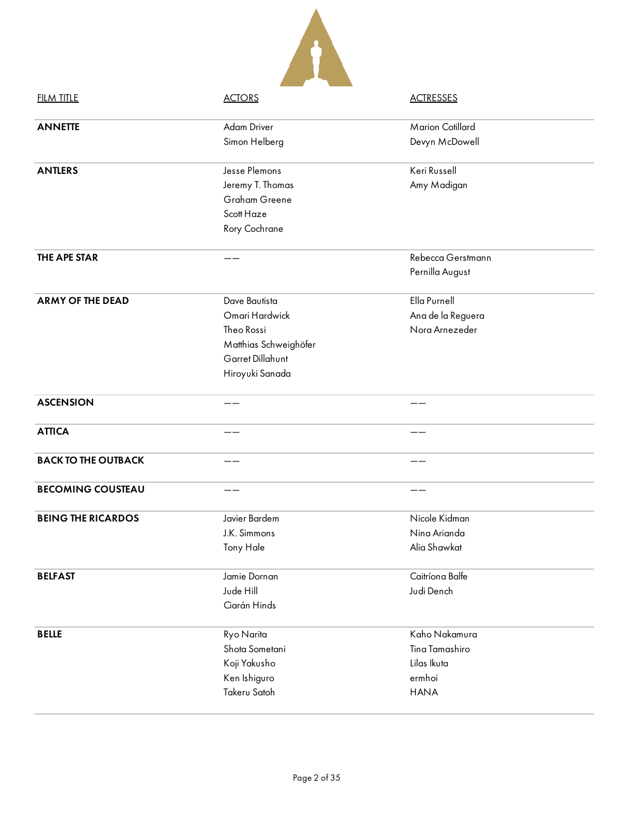| <b>FILM TITLE</b>          | <b>ACTORS</b>         | <b>ACTRESSES</b>      |  |
|----------------------------|-----------------------|-----------------------|--|
| <b>ANNETTE</b>             | Adam Driver           | Marion Cotillard      |  |
|                            | Simon Helberg         | Devyn McDowell        |  |
| <b>ANTLERS</b>             | Jesse Plemons         | Keri Russell          |  |
|                            | Jeremy T. Thomas      | Amy Madigan           |  |
|                            | Graham Greene         |                       |  |
|                            | Scott Haze            |                       |  |
|                            | Rory Cochrane         |                       |  |
| <b>THE APE STAR</b>        |                       | Rebecca Gerstmann     |  |
|                            |                       | Pernilla August       |  |
| <b>ARMY OF THE DEAD</b>    | Dave Bautista         | Ella Purnell          |  |
|                            | Omari Hardwick        | Ana de la Reguera     |  |
|                            | Theo Rossi            | Nora Arnezeder        |  |
|                            | Matthias Schweighöfer |                       |  |
|                            | Garret Dillahunt      |                       |  |
|                            | Hiroyuki Sanada       |                       |  |
| <b>ASCENSION</b>           |                       |                       |  |
| <b>ATTICA</b>              |                       |                       |  |
| <b>BACK TO THE OUTBACK</b> |                       |                       |  |
| <b>BECOMING COUSTEAU</b>   |                       |                       |  |
| <b>BEING THE RICARDOS</b>  | Javier Bardem         | Nicole Kidman         |  |
|                            | J.K. Simmons          | Nina Arianda          |  |
|                            | Tony Hale             | Alia Shawkat          |  |
| <b>BELFAST</b>             | Jamie Dornan          | Caitríona Balfe       |  |
|                            | Jude Hill             | Judi Dench            |  |
|                            | Ciarán Hinds          |                       |  |
|                            |                       |                       |  |
| <b>BELLE</b>               | Ryo Narita            | Kaho Nakamura         |  |
|                            | Shota Sometani        | <b>Tina Tamashiro</b> |  |
|                            | Koji Yakusho          | Lilas Ikuta           |  |
|                            | Ken Ishiguro          | ermhoi                |  |
|                            | Takeru Satoh          | <b>HANA</b>           |  |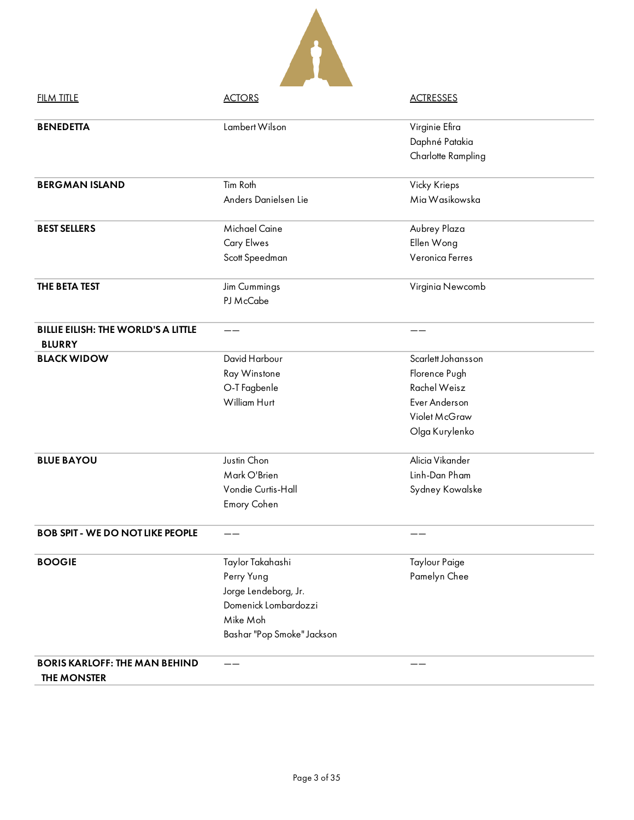| <b>FILM TITLE</b>                          | <b>ACTORS</b>              | <b>ACTRESSES</b>     |  |
|--------------------------------------------|----------------------------|----------------------|--|
| <b>BENEDETTA</b>                           | Lambert Wilson             | Virginie Efira       |  |
|                                            |                            | Daphné Patakia       |  |
|                                            |                            | Charlotte Rampling   |  |
| <b>BERGMAN ISLAND</b>                      | Tim Roth                   | Vicky Krieps         |  |
|                                            | Anders Danielsen Lie       | Mia Wasikowska       |  |
| <b>BEST SELLERS</b>                        | Michael Caine              | Aubrey Plaza         |  |
|                                            | Cary Elwes                 | Ellen Wong           |  |
|                                            | Scott Speedman             | Veronica Ferres      |  |
| THE BETA TEST                              | Jim Cummings               | Virginia Newcomb     |  |
|                                            | PJ McCabe                  |                      |  |
| <b>BILLIE EILISH: THE WORLD'S A LITTLE</b> |                            |                      |  |
| <b>BLURRY</b>                              |                            |                      |  |
| <b>BLACK WIDOW</b>                         | David Harbour              | Scarlett Johansson   |  |
|                                            | Ray Winstone               | Florence Pugh        |  |
|                                            | O-T Fagbenle               | Rachel Weisz         |  |
|                                            | William Hurt               | Ever Anderson        |  |
|                                            |                            | Violet McGraw        |  |
|                                            |                            | Olga Kurylenko       |  |
| <b>BLUE BAYOU</b>                          | Justin Chon                | Alicia Vikander      |  |
|                                            | Mark O'Brien               | Linh-Dan Pham        |  |
|                                            | Vondie Curtis-Hall         | Sydney Kowalske      |  |
|                                            | Emory Cohen                |                      |  |
| <b>BOB SPIT - WE DO NOT LIKE PEOPLE</b>    |                            |                      |  |
| <b>BOOGIE</b>                              | Taylor Takahashi           | <b>Taylour Paige</b> |  |
|                                            | Perry Yung                 | Pamelyn Chee         |  |
|                                            | Jorge Lendeborg, Jr.       |                      |  |
|                                            | Domenick Lombardozzi       |                      |  |
|                                            | Mike Moh                   |                      |  |
|                                            | Bashar "Pop Smoke" Jackson |                      |  |
| <b>BORIS KARLOFF: THE MAN BEHIND</b>       |                            |                      |  |
| <b>THE MONSTER</b>                         |                            |                      |  |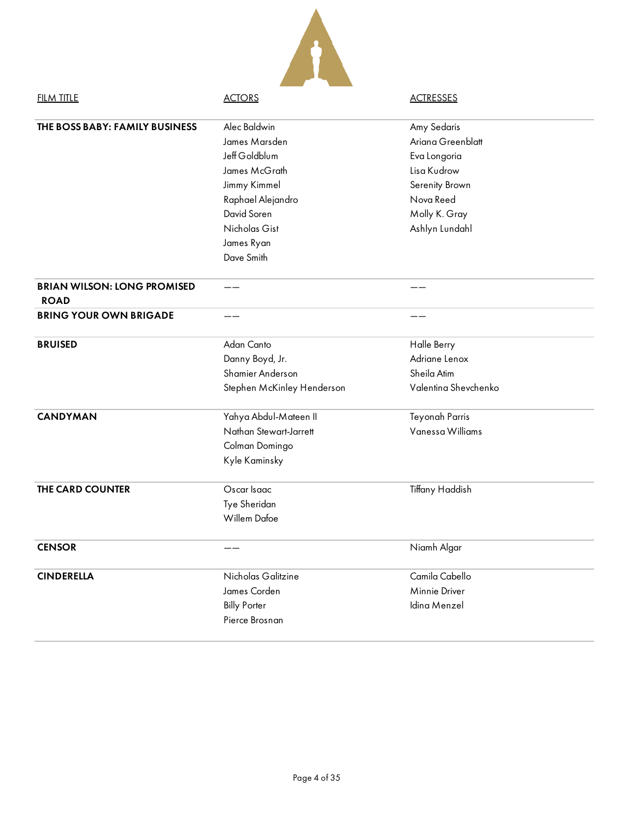| <b>FILM TITLE</b>                                                                  | <b>ACTORS</b>                                                                                                                                      | <b>ACTRESSES</b>                                                                                                                  |
|------------------------------------------------------------------------------------|----------------------------------------------------------------------------------------------------------------------------------------------------|-----------------------------------------------------------------------------------------------------------------------------------|
| THE BOSS BABY: FAMILY BUSINESS                                                     | Alec Baldwin<br>James Marsden<br>Jeff Goldblum<br>James McGrath<br>Jimmy Kimmel<br>Raphael Alejandro<br>David Soren<br>Nicholas Gist<br>James Ryan | Amy Sedaris<br>Ariana Greenblatt<br>Eva Longoria<br>Lisa Kudrow<br>Serenity Brown<br>Nova Reed<br>Molly K. Gray<br>Ashlyn Lundahl |
| <b>BRIAN WILSON: LONG PROMISED</b><br><b>ROAD</b><br><b>BRING YOUR OWN BRIGADE</b> | Dave Smith                                                                                                                                         |                                                                                                                                   |
| <b>BRUISED</b>                                                                     | Adan Canto<br>Danny Boyd, Jr.<br>Shamier Anderson<br>Stephen McKinley Henderson                                                                    | Halle Berry<br>Adriane Lenox<br>Sheila Atim<br>Valentina Shevchenko                                                               |
| <b>CANDYMAN</b>                                                                    | Yahya Abdul-Mateen II<br>Nathan Stewart-Jarrett<br>Colman Domingo<br>Kyle Kaminsky                                                                 | Teyonah Parris<br>Vanessa Williams                                                                                                |
| <b>THE CARD COUNTER</b>                                                            | Oscar Isaac<br>Tye Sheridan<br>Willem Dafoe                                                                                                        | Tiffany Haddish                                                                                                                   |
| <b>CENSOR</b>                                                                      |                                                                                                                                                    | Niamh Algar                                                                                                                       |
| <b>CINDERELLA</b>                                                                  | Nicholas Galitzine<br>James Corden<br><b>Billy Porter</b><br>Pierce Brosnan                                                                        | Camila Cabello<br>Minnie Driver<br>Idina Menzel                                                                                   |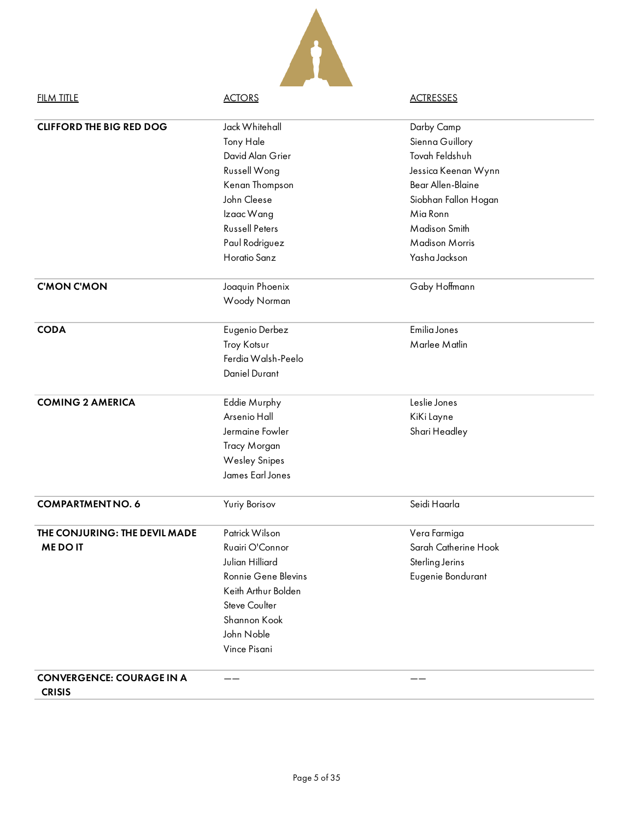| <b>FILM TITLE</b>                                 | <b>ACTORS</b>                   | <b>ACTRESSES</b>      |
|---------------------------------------------------|---------------------------------|-----------------------|
| <b>CLIFFORD THE BIG RED DOG</b>                   | Jack Whitehall                  | Darby Camp            |
|                                                   | Tony Hale                       | Sienna Guillory       |
|                                                   | David Alan Grier                | Tovah Feldshuh        |
|                                                   | Russell Wong                    | Jessica Keenan Wynn   |
|                                                   | Kenan Thompson                  | Bear Allen-Blaine     |
|                                                   | John Cleese                     | Siobhan Fallon Hogan  |
|                                                   | Izaac Wang                      | Mia Ronn              |
|                                                   | <b>Russell Peters</b>           | Madison Smith         |
|                                                   | Paul Rodriguez                  | <b>Madison Morris</b> |
|                                                   | Horatio Sanz                    | Yasha Jackson         |
| <b>C'MON C'MON</b>                                | Joaquin Phoenix<br>Woody Norman | Gaby Hoffmann         |
| <b>CODA</b>                                       | Eugenio Derbez                  | Emilia Jones          |
|                                                   | Troy Kotsur                     | Marlee Matlin         |
|                                                   | Ferdia Walsh-Peelo              |                       |
|                                                   | <b>Daniel Durant</b>            |                       |
| <b>COMING 2 AMERICA</b>                           | Eddie Murphy                    | Leslie Jones          |
|                                                   | Arsenio Hall                    | KiKi Layne            |
|                                                   | Jermaine Fowler                 | Shari Headley         |
|                                                   | Tracy Morgan                    |                       |
|                                                   | <b>Wesley Snipes</b>            |                       |
|                                                   | James Earl Jones                |                       |
| <b>COMPARTMENT NO. 6</b>                          | Yuriy Borisov                   | Seidi Haarla          |
| THE CONJURING: THE DEVIL MADE                     | Patrick Wilson                  | Vera Farmiga          |
| <b>MEDOIT</b>                                     | Ruairi O'Connor                 | Sarah Catherine Hook  |
|                                                   | Julian Hilliard                 | Sterling Jerins       |
|                                                   | Ronnie Gene Blevins             | Eugenie Bondurant     |
|                                                   | Keith Arthur Bolden             |                       |
|                                                   | Steve Coulter                   |                       |
|                                                   | Shannon Kook                    |                       |
|                                                   | John Noble                      |                       |
|                                                   | Vince Pisani                    |                       |
| <b>CONVERGENCE: COURAGE IN A</b><br><b>CRISIS</b> |                                 |                       |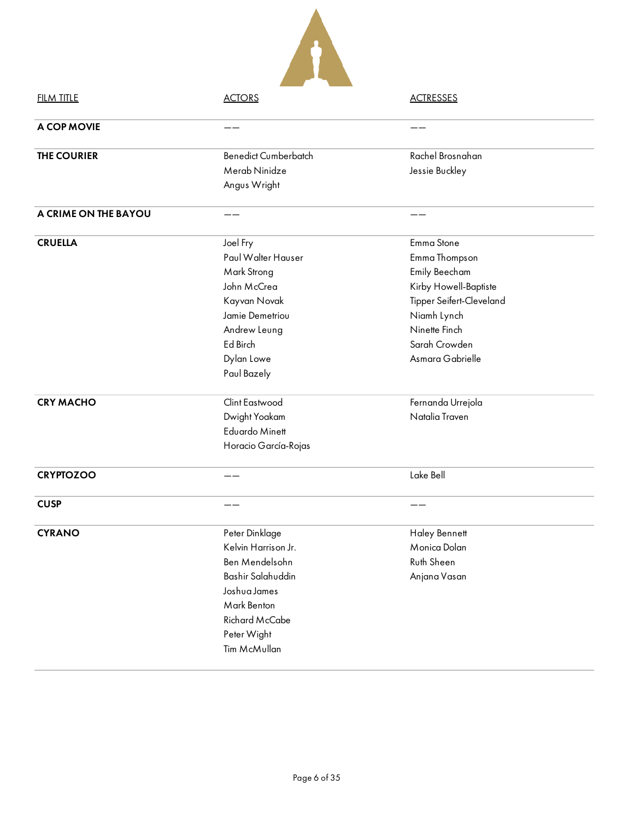| <b>FILM TITLE</b>    | <b>ACTORS</b>               | <b>ACTRESSES</b>         |  |
|----------------------|-----------------------------|--------------------------|--|
| A COP MOVIE          |                             |                          |  |
| <b>THE COURIER</b>   | <b>Benedict Cumberbatch</b> | Rachel Brosnahan         |  |
|                      | Merab Ninidze               | Jessie Buckley           |  |
|                      | Angus Wright                |                          |  |
| A CRIME ON THE BAYOU | ——                          |                          |  |
| <b>CRUELLA</b>       | Joel Fry                    | Emma Stone               |  |
|                      | Paul Walter Hauser          | Emma Thompson            |  |
|                      | Mark Strong                 | Emily Beecham            |  |
|                      | John McCrea                 | Kirby Howell-Baptiste    |  |
|                      | Kayvan Novak                | Tipper Seifert-Cleveland |  |
|                      | Jamie Demetriou             | Niamh Lynch              |  |
|                      | Andrew Leung                | Ninette Finch            |  |
|                      | Ed Birch                    | Sarah Crowden            |  |
|                      | Dylan Lowe                  | Asmara Gabrielle         |  |
|                      | Paul Bazely                 |                          |  |
| <b>CRY MACHO</b>     | Clint Eastwood              | Fernanda Urrejola        |  |
|                      | Dwight Yoakam               | Natalia Traven           |  |
|                      | Eduardo Minett              |                          |  |
|                      | Horacio García-Rojas        |                          |  |
| <b>CRYPTOZOO</b>     |                             | Lake Bell                |  |
| <b>CUSP</b>          |                             |                          |  |
| <b>CYRANO</b>        | Peter Dinklage              | <b>Haley Bennett</b>     |  |
|                      | Kelvin Harrison Jr.         | Monica Dolan             |  |
|                      | Ben Mendelsohn              | Ruth Sheen               |  |
|                      | Bashir Salahuddin           | Anjana Vasan             |  |
|                      | Joshua James                |                          |  |
|                      | Mark Benton                 |                          |  |
|                      | Richard McCabe              |                          |  |
|                      | Peter Wight                 |                          |  |
|                      | Tim McMullan                |                          |  |
|                      |                             |                          |  |

Δ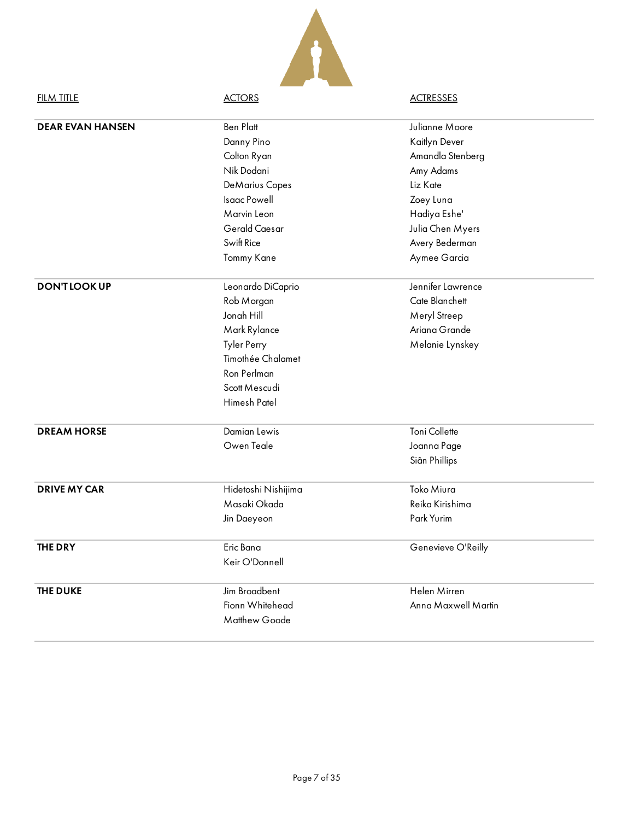| <b>FILM TITLE</b>       | <b>ACTORS</b>                                                                                                                                                    | <b>ACTRESSES</b>                                                                                                                                                |
|-------------------------|------------------------------------------------------------------------------------------------------------------------------------------------------------------|-----------------------------------------------------------------------------------------------------------------------------------------------------------------|
| <b>DEAR EVAN HANSEN</b> | <b>Ben Platt</b><br>Danny Pino<br>Colton Ryan<br>Nik Dodani<br><b>DeMarius Copes</b><br>Isaac Powell<br>Marvin Leon<br>Gerald Caesar<br>Swift Rice<br>Tommy Kane | Julianne Moore<br>Kaitlyn Dever<br>Amandla Stenberg<br>Amy Adams<br>Liz Kate<br>Zoey Luna<br>Hadiya Eshe'<br>Julia Chen Myers<br>Avery Bederman<br>Aymee Garcia |
| <b>DON'T LOOK UP</b>    | Leonardo DiCaprio<br>Rob Morgan<br>Jonah Hill<br>Mark Rylance<br><b>Tyler Perry</b><br>Timothée Chalamet<br>Ron Perlman<br>Scott Mescudi<br>Himesh Patel         | Jennifer Lawrence<br>Cate Blanchett<br>Meryl Streep<br>Ariana Grande<br>Melanie Lynskey                                                                         |
| <b>DREAM HORSE</b>      | Damian Lewis<br>Owen Teale                                                                                                                                       | Toni Collette<br>Joanna Page<br>Siân Phillips                                                                                                                   |
| <b>DRIVE MY CAR</b>     | Hidetoshi Nishijima<br>Masaki Okada<br>Jin Daeyeon                                                                                                               | <b>Toko Miura</b><br>Reika Kirishima<br>Park Yurim                                                                                                              |
| <b>THE DRY</b>          | Eric Bana<br>Keir O'Donnell                                                                                                                                      | Genevieve O'Reilly                                                                                                                                              |
| <b>THE DUKE</b>         | Jim Broadbent<br>Fionn Whitehead<br>Matthew Goode                                                                                                                | Helen Mirren<br>Anna Maxwell Martin                                                                                                                             |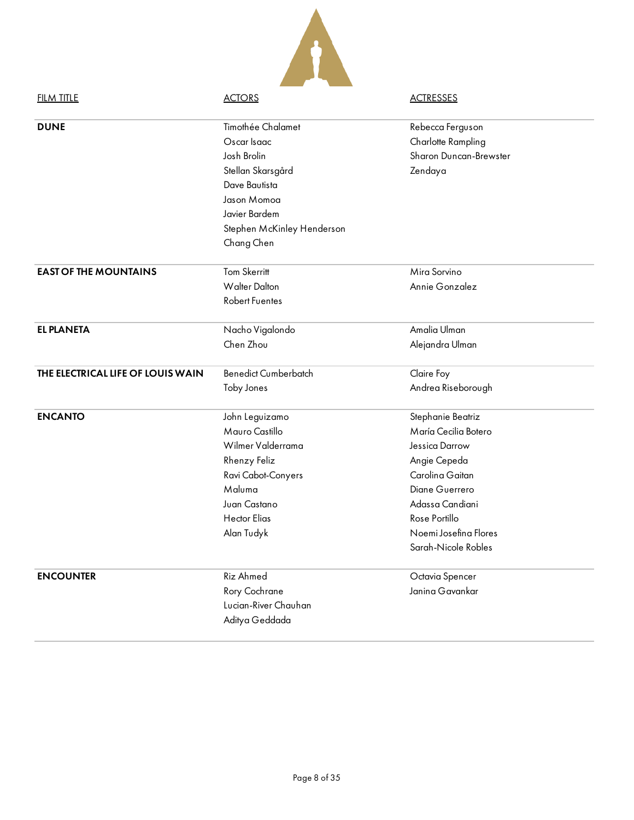| <b>FILM TITLE</b>                 | <b>ACTORS</b>               | <b>ACTRESSES</b>       |
|-----------------------------------|-----------------------------|------------------------|
| <b>DUNE</b>                       | Timothée Chalamet           | Rebecca Ferguson       |
|                                   | Oscar Isaac                 | Charlotte Rampling     |
|                                   | Josh Brolin                 | Sharon Duncan-Brewster |
|                                   | Stellan Skarsgård           | Zendaya                |
|                                   | Dave Bautista               |                        |
|                                   | Jason Momoa                 |                        |
|                                   | Javier Bardem               |                        |
|                                   | Stephen McKinley Henderson  |                        |
|                                   | Chang Chen                  |                        |
| <b>EAST OF THE MOUNTAINS</b>      | <b>Tom Skerritt</b>         | Mira Sorvino           |
|                                   | <b>Walter Dalton</b>        | Annie Gonzalez         |
|                                   | <b>Robert Fuentes</b>       |                        |
| <b>EL PLANETA</b>                 | Nacho Vigalondo             | Amalia Ulman           |
|                                   | Chen Zhou                   | Alejandra Ulman        |
| THE ELECTRICAL LIFE OF LOUIS WAIN | <b>Benedict Cumberbatch</b> | Claire Foy             |
|                                   | <b>Toby Jones</b>           | Andrea Riseborough     |
| <b>ENCANTO</b>                    | John Leguizamo              | Stephanie Beatriz      |
|                                   | Mauro Castillo              | María Cecilia Botero   |
|                                   | Wilmer Valderrama           | Jessica Darrow         |
|                                   | Rhenzy Feliz                | Angie Cepeda           |
|                                   | Ravi Cabot-Conyers          | Carolina Gaitan        |
|                                   | Maluma                      | Diane Guerrero         |
|                                   | Juan Castano                | Adassa Candiani        |
|                                   | <b>Hector Elias</b>         | Rose Portillo          |
|                                   | Alan Tudyk                  | Noemi Josefina Flores  |
|                                   |                             | Sarah-Nicole Robles    |
| <b>ENCOUNTER</b>                  | Riz Ahmed                   | Octavia Spencer        |
|                                   | Rory Cochrane               | Janina Gavankar        |
|                                   | Lucian-River Chauhan        |                        |
|                                   | Aditya Geddada              |                        |
|                                   |                             |                        |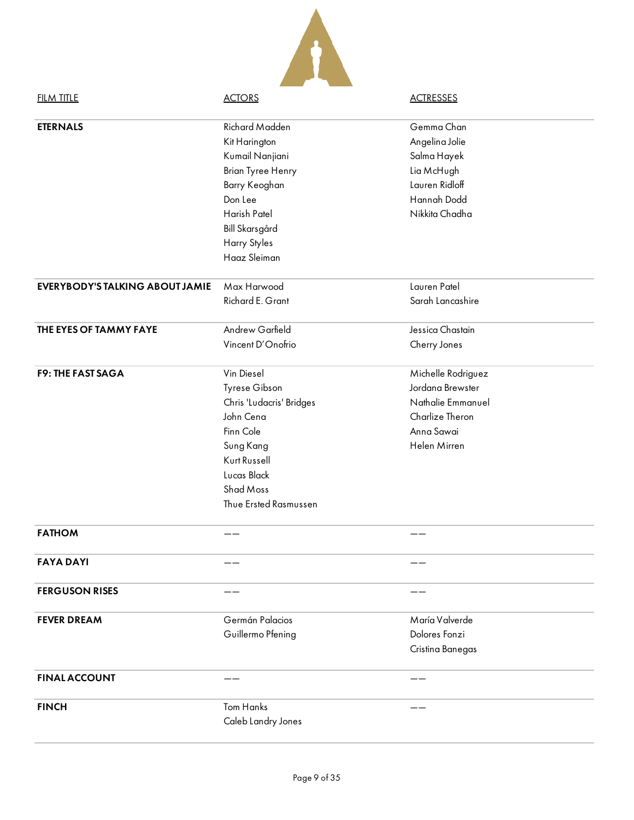| <b>FILM TITLE</b>                      | <b>ACTORS</b>            | <b>ACTRESSES</b>   |
|----------------------------------------|--------------------------|--------------------|
| <b>ETERNALS</b>                        | Richard Madden           | Gemma Chan         |
|                                        | Kit Harington            | Angelina Jolie     |
|                                        | Kumail Nanjiani          | Salma Hayek        |
|                                        | Brian Tyree Henry        | Lia McHugh         |
|                                        | Barry Keoghan            | Lauren Ridloff     |
|                                        | Don Lee                  | Hannah Dodd        |
|                                        | Harish Patel             | Nikkita Chadha     |
|                                        | Bill Skarsgård           |                    |
|                                        | Harry Styles             |                    |
|                                        | Haaz Sleiman             |                    |
| <b>EVERYBODY'S TALKING ABOUT JAMIE</b> | Max Harwood              | Lauren Patel       |
|                                        | Richard E. Grant         | Sarah Lancashire   |
| THE EYES OF TAMMY FAYE                 | Andrew Garfield          | Jessica Chastain   |
|                                        | Vincent D'Onofrio        | Cherry Jones       |
| <b>F9: THE FAST SAGA</b>               | Vin Diesel               | Michelle Rodriguez |
|                                        | Tyrese Gibson            | Jordana Brewster   |
|                                        | Chris 'Ludacris' Bridges | Nathalie Emmanuel  |
|                                        | John Cena                | Charlize Theron    |
|                                        | Finn Cole                | Anna Sawai         |
|                                        | Sung Kang                | Helen Mirren       |
|                                        | Kurt Russell             |                    |
|                                        | Lucas Black              |                    |
|                                        | Shad Moss                |                    |
|                                        | Thue Ersted Rasmussen    |                    |
| <b>FATHOM</b>                          |                          |                    |
| <b>FAYA DAYI</b>                       |                          |                    |
| <b>FERGUSON RISES</b>                  |                          |                    |
| <b>FEVER DREAM</b>                     | Germán Palacios          | María Valverde     |
|                                        | Guillermo Pfening        | Dolores Fonzi      |
|                                        |                          | Cristina Banegas   |
| <b>FINAL ACCOUNT</b>                   |                          |                    |
| <b>FINCH</b>                           | <b>Tom Hanks</b>         |                    |
|                                        | Caleb Landry Jones       |                    |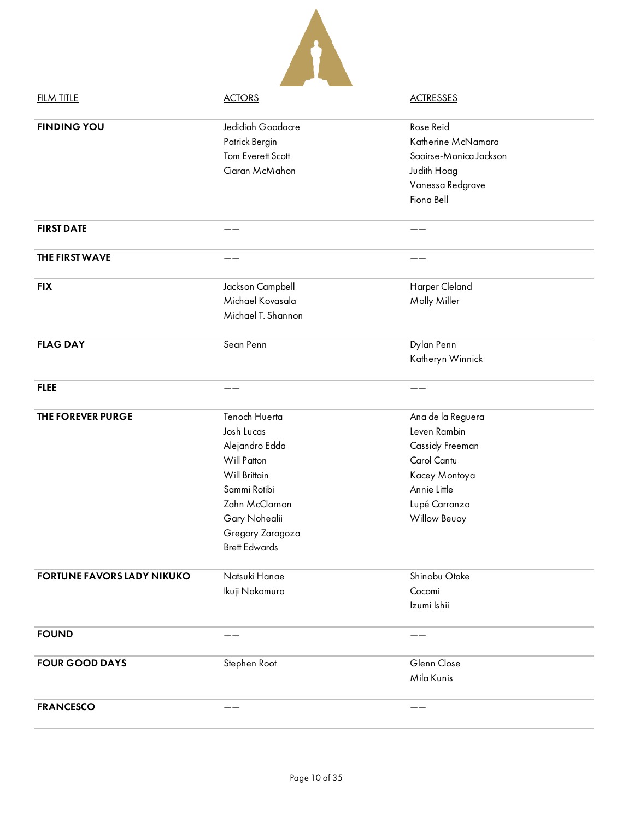| <b>FILM TITLE</b>                 | <b>ACTORS</b>        | <b>ACTRESSES</b>       |
|-----------------------------------|----------------------|------------------------|
| <b>FINDING YOU</b>                | Jedidiah Goodacre    | Rose Reid              |
|                                   | Patrick Bergin       | Katherine McNamara     |
|                                   | Tom Everett Scott    | Saoirse-Monica Jackson |
|                                   | Ciaran McMahon       | Judith Hoag            |
|                                   |                      | Vanessa Redgrave       |
|                                   |                      | Fiona Bell             |
| <b>FIRST DATE</b>                 |                      |                        |
| THE FIRST WAVE                    |                      |                        |
| <b>FIX</b>                        | Jackson Campbell     | Harper Cleland         |
|                                   | Michael Kovasala     | Molly Miller           |
|                                   | Michael T. Shannon   |                        |
| <b>FLAG DAY</b>                   | Sean Penn            | Dylan Penn             |
|                                   |                      | Katheryn Winnick       |
|                                   |                      |                        |
| <b>FLEE</b>                       |                      |                        |
| THE FOREVER PURGE                 | <b>Tenoch Huerta</b> | Ana de la Reguera      |
|                                   | Josh Lucas           | Leven Rambin           |
|                                   | Alejandro Edda       | Cassidy Freeman        |
|                                   | Will Patton          | Carol Cantu            |
|                                   | Will Brittain        | Kacey Montoya          |
|                                   | Sammi Rotibi         | Annie Little           |
|                                   | Zahn McClarnon       | Lupé Carranza          |
|                                   | Gary Nohealii        | <b>Willow Beuoy</b>    |
|                                   | Gregory Zaragoza     |                        |
|                                   | <b>Brett Edwards</b> |                        |
| <b>FORTUNE FAVORS LADY NIKUKO</b> | Natsuki Hanae        | Shinobu Otake          |
|                                   | Ikuji Nakamura       | Cocomi                 |
|                                   |                      | Izumi Ishii            |
| <b>FOUND</b>                      | --                   |                        |
| <b>FOUR GOOD DAYS</b>             | Stephen Root         | Glenn Close            |
|                                   |                      | Mila Kunis             |
| <b>FRANCESCO</b>                  |                      |                        |
|                                   |                      |                        |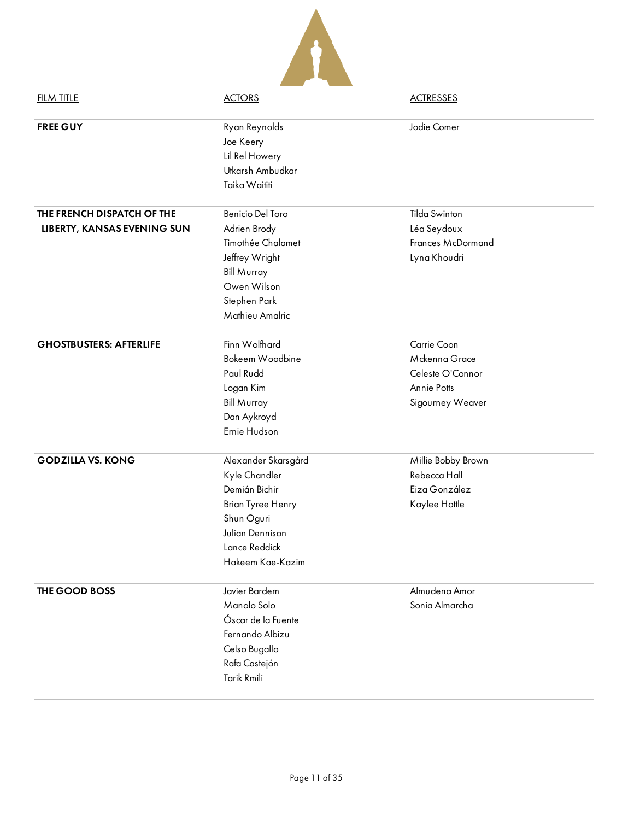| <b>FILM TITLE</b>                                         | <b>ACTORS</b>                                                                                                                                           | <b>ACTRESSES</b>                                                                    |
|-----------------------------------------------------------|---------------------------------------------------------------------------------------------------------------------------------------------------------|-------------------------------------------------------------------------------------|
| <b>FREE GUY</b>                                           | Ryan Reynolds<br>Joe Keery<br>Lil Rel Howery<br>Utkarsh Ambudkar<br>Taika Waititi                                                                       | Jodie Comer                                                                         |
| THE FRENCH DISPATCH OF THE<br>LIBERTY, KANSAS EVENING SUN | <b>Benicio Del Toro</b><br>Adrien Brody<br>Timothée Chalamet<br>Jeffrey Wright<br><b>Bill Murray</b><br>Owen Wilson<br>Stephen Park<br>Mathieu Amalric  | <b>Tilda Swinton</b><br>Léa Seydoux<br>Frances McDormand<br>Lyna Khoudri            |
| <b>GHOSTBUSTERS: AFTERLIFE</b>                            | Finn Wolfhard<br>Bokeem Woodbine<br>Paul Rudd<br>Logan Kim<br><b>Bill Murray</b><br>Dan Aykroyd<br>Ernie Hudson                                         | Carrie Coon<br>Mckenna Grace<br>Celeste O'Connor<br>Annie Potts<br>Sigourney Weaver |
| <b>GODZILLA VS. KONG</b>                                  | Alexander Skarsgård<br>Kyle Chandler<br>Demián Bichir<br><b>Brian Tyree Henry</b><br>Shun Oguri<br>Julian Dennison<br>Lance Reddick<br>Hakeem Kae-Kazim | Millie Bobby Brown<br>Rebecca Hall<br>Eiza González<br>Kaylee Hottle                |
| THE GOOD BOSS                                             | Javier Bardem<br>Manolo Solo<br>Óscar de la Fuente<br>Fernando Albizu<br>Celso Bugallo<br>Rafa Castejón<br>Tarik Rmili                                  | Almudena Amor<br>Sonia Almarcha                                                     |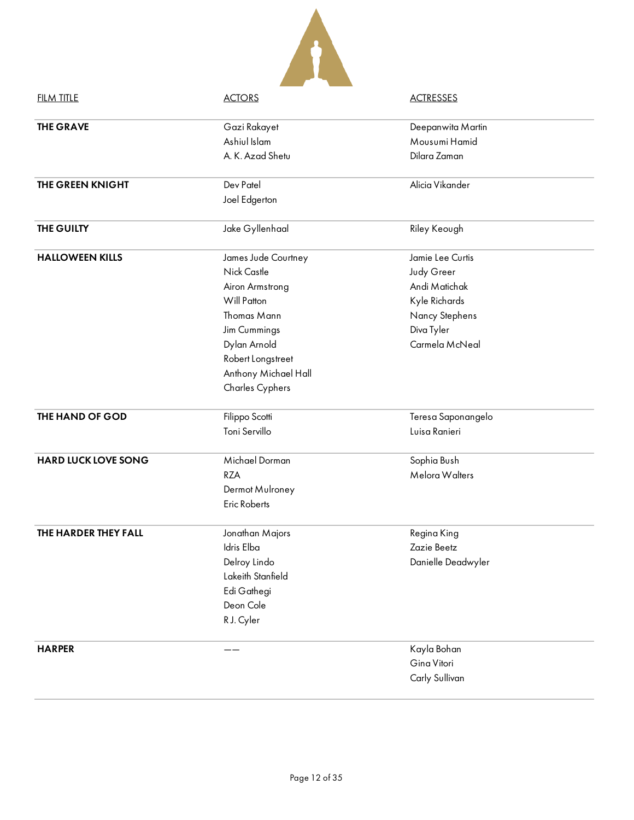| <b>FILM TITLE</b>          | <b>ACTORS</b>          | <b>ACTRESSES</b>   |  |
|----------------------------|------------------------|--------------------|--|
| <b>THE GRAVE</b>           | Gazi Rakayet           | Deepanwita Martin  |  |
|                            | Ashiul Islam           | Mousumi Hamid      |  |
|                            | A. K. Azad Shetu       | Dilara Zaman       |  |
| THE GREEN KNIGHT           | Dev Patel              | Alicia Vikander    |  |
|                            | Joel Edgerton          |                    |  |
| THE GUILTY                 | Jake Gyllenhaal        | Riley Keough       |  |
| <b>HALLOWEEN KILLS</b>     | James Jude Courtney    | Jamie Lee Curtis   |  |
|                            | Nick Castle            | Judy Greer         |  |
|                            | Airon Armstrong        | Andi Matichak      |  |
|                            | Will Patton            | Kyle Richards      |  |
|                            | Thomas Mann            | Nancy Stephens     |  |
|                            | Jim Cummings           | Diva Tyler         |  |
|                            | Dylan Arnold           | Carmela McNeal     |  |
|                            | Robert Longstreet      |                    |  |
|                            | Anthony Michael Hall   |                    |  |
|                            | <b>Charles Cyphers</b> |                    |  |
| THE HAND OF GOD            | Filippo Scotti         | Teresa Saponangelo |  |
|                            | Toni Servillo          | Luisa Ranieri      |  |
| <b>HARD LUCK LOVE SONG</b> | Michael Dorman         | Sophia Bush        |  |
|                            | <b>RZA</b>             | Melora Walters     |  |
|                            | Dermot Mulroney        |                    |  |
|                            | Eric Roberts           |                    |  |
| THE HARDER THEY FALL       | Jonathan Majors        | Regina King        |  |
|                            | Idris Elba             | Zazie Beetz        |  |
|                            | Delroy Lindo           | Danielle Deadwyler |  |
|                            | Lakeith Stanfield      |                    |  |
|                            | Edi Gathegi            |                    |  |
|                            | Deon Cole              |                    |  |
|                            | R J. Cyler             |                    |  |
| <b>HARPER</b>              |                        | Kayla Bohan        |  |
|                            |                        | Gina Vitori        |  |
|                            |                        | Carly Sullivan     |  |
|                            |                        |                    |  |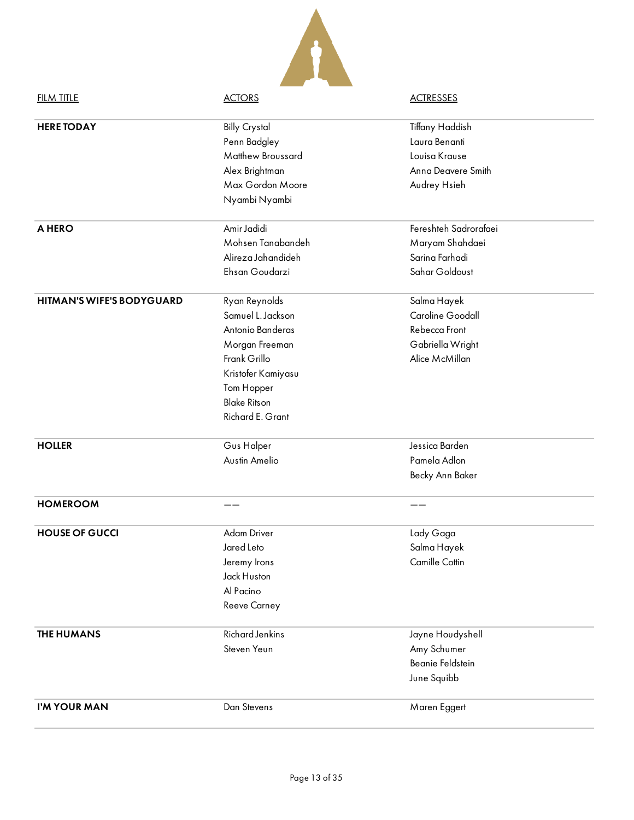| <b>FILM TITLE</b>                | <b>ACTORS</b>                                                                                                                                                           | <b>ACTRESSES</b>                                                                        |
|----------------------------------|-------------------------------------------------------------------------------------------------------------------------------------------------------------------------|-----------------------------------------------------------------------------------------|
| <b>HERE TODAY</b>                | <b>Billy Crystal</b><br>Penn Badgley<br>Matthew Broussard<br>Alex Brightman<br>Max Gordon Moore<br>Nyambi Nyambi                                                        | Tiffany Haddish<br>Laura Benanti<br>Louisa Krause<br>Anna Deavere Smith<br>Audrey Hsieh |
| A HERO                           | Amir Jadidi<br>Mohsen Tanabandeh<br>Alireza Jahandideh<br>Ehsan Goudarzi                                                                                                | Fereshteh Sadrorafaei<br>Maryam Shahdaei<br>Sarina Farhadi<br>Sahar Goldoust            |
| <b>HITMAN'S WIFE'S BODYGUARD</b> | Ryan Reynolds<br>Samuel L. Jackson<br>Antonio Banderas<br>Morgan Freeman<br>Frank Grillo<br>Kristofer Kamiyasu<br>Tom Hopper<br><b>Blake Ritson</b><br>Richard E. Grant | Salma Hayek<br>Caroline Goodall<br>Rebecca Front<br>Gabriella Wright<br>Alice McMillan  |
| <b>HOLLER</b>                    | Gus Halper<br>Austin Amelio                                                                                                                                             | Jessica Barden<br>Pamela Adlon<br>Becky Ann Baker                                       |
| <b>HOMEROOM</b>                  |                                                                                                                                                                         |                                                                                         |
| <b>HOUSE OF GUCCI</b>            | Adam Driver<br>Jared Leto<br>Jeremy Irons<br>Jack Huston<br>Al Pacino<br><b>Reeve Carney</b>                                                                            | Lady Gaga<br>Salma Hayek<br>Camille Cottin                                              |
| <b>THE HUMANS</b>                | <b>Richard Jenkins</b><br>Steven Yeun                                                                                                                                   | Jayne Houdyshell<br>Amy Schumer<br>Beanie Feldstein<br>June Squibb                      |
| I'M YOUR MAN                     | Dan Stevens                                                                                                                                                             | Maren Eggert                                                                            |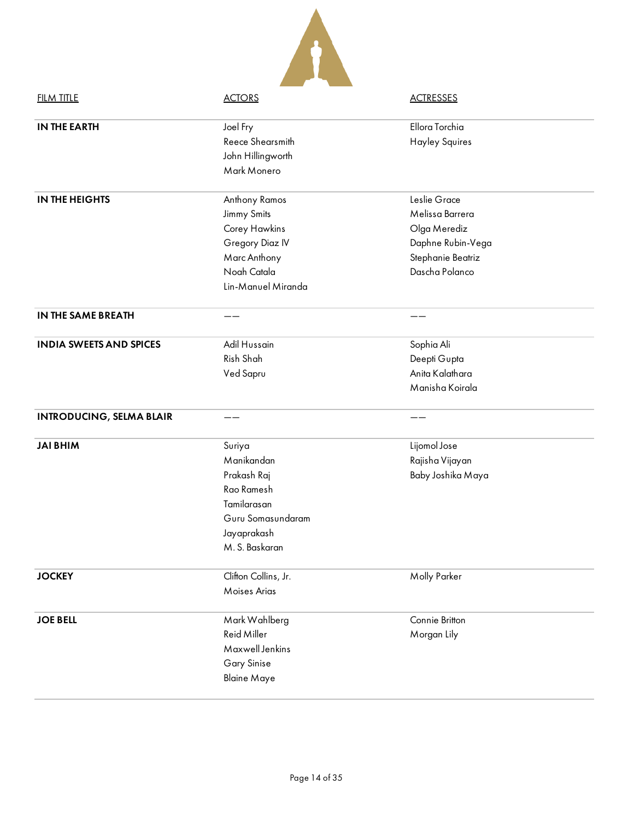| <b>FILM TITLE</b>               | <b>ACTORS</b>                | <b>ACTRESSES</b>      |  |
|---------------------------------|------------------------------|-----------------------|--|
| <b>IN THE EARTH</b>             | Joel Fry<br>Reece Shearsmith | Ellora Torchia        |  |
|                                 | John Hillingworth            | <b>Hayley Squires</b> |  |
|                                 | Mark Monero                  |                       |  |
|                                 |                              |                       |  |
| IN THE HEIGHTS                  | Anthony Ramos                | Leslie Grace          |  |
|                                 | Jimmy Smits                  | Melissa Barrera       |  |
|                                 | Corey Hawkins                | Olga Merediz          |  |
|                                 | Gregory Diaz IV              | Daphne Rubin-Vega     |  |
|                                 | Marc Anthony                 | Stephanie Beatriz     |  |
|                                 | Noah Catala                  | Dascha Polanco        |  |
|                                 | Lin-Manuel Miranda           |                       |  |
| IN THE SAME BREATH              |                              |                       |  |
| <b>INDIA SWEETS AND SPICES</b>  | Adil Hussain                 | Sophia Ali            |  |
|                                 | Rish Shah                    | Deepti Gupta          |  |
|                                 | Ved Sapru                    | Anita Kalathara       |  |
|                                 |                              | Manisha Koirala       |  |
| <b>INTRODUCING, SELMA BLAIR</b> |                              |                       |  |
| <b>JAI BHIM</b>                 | Suriya                       | Lijomol Jose          |  |
|                                 | Manikandan                   | Rajisha Vijayan       |  |
|                                 | Prakash Raj                  | Baby Joshika Maya     |  |
|                                 | Rao Ramesh                   |                       |  |
|                                 | Tamilarasan                  |                       |  |
|                                 | Guru Somasundaram            |                       |  |
|                                 | Jayaprakash                  |                       |  |
|                                 | M. S. Baskaran               |                       |  |
| <b>JOCKEY</b>                   | Clifton Collins, Jr.         | Molly Parker          |  |
|                                 | Moises Arias                 |                       |  |
| <b>JOE BELL</b>                 | Mark Wahlberg                | Connie Britton        |  |
|                                 | Reid Miller                  | Morgan Lily           |  |
|                                 | Maxwell Jenkins              |                       |  |
|                                 | Gary Sinise                  |                       |  |
|                                 | <b>Blaine Maye</b>           |                       |  |
|                                 |                              |                       |  |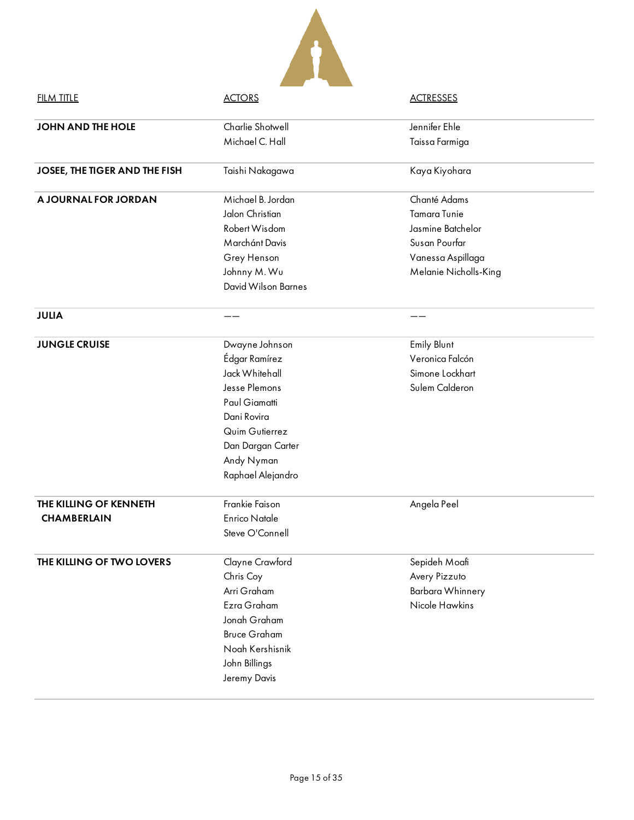| <b>FILM TITLE</b>             | <b>ACTORS</b>              | <b>ACTRESSES</b>      |  |
|-------------------------------|----------------------------|-----------------------|--|
| <b>JOHN AND THE HOLE</b>      | Charlie Shotwell           | Jennifer Ehle         |  |
|                               | Michael C. Hall            | Taissa Farmiga        |  |
| JOSEE, THE TIGER AND THE FISH | Taishi Nakagawa            | Kaya Kiyohara         |  |
| A JOURNAL FOR JORDAN          | Michael B. Jordan          | Chanté Adams          |  |
|                               | Jalon Christian            | <b>Tamara Tunie</b>   |  |
|                               | Robert Wisdom              | Jasmine Batchelor     |  |
|                               | Marchánt Davis             | Susan Pourfar         |  |
|                               | Grey Henson                | Vanessa Aspillaga     |  |
|                               | Johnny M. Wu               | Melanie Nicholls-King |  |
|                               | <b>David Wilson Barnes</b> |                       |  |
| <b>JULIA</b>                  |                            |                       |  |
| <b>JUNGLE CRUISE</b>          | Dwayne Johnson             | <b>Emily Blunt</b>    |  |
|                               | Édgar Ramírez              | Veronica Falcón       |  |
|                               | Jack Whitehall             | Simone Lockhart       |  |
|                               | Jesse Plemons              | Sulem Calderon        |  |
|                               | Paul Giamatti              |                       |  |
|                               | Dani Rovira                |                       |  |
|                               | Quim Gutierrez             |                       |  |
|                               | Dan Dargan Carter          |                       |  |
|                               | Andy Nyman                 |                       |  |
|                               | Raphael Alejandro          |                       |  |
| THE KILLING OF KENNETH        | Frankie Faison             | Angela Peel           |  |
| <b>CHAMBERLAIN</b>            | <b>Enrico Natale</b>       |                       |  |
|                               | Steve O'Connell            |                       |  |
| THE KILLING OF TWO LOVERS     | Clayne Crawford            | Sepideh Moafi         |  |
|                               | Chris Coy                  | Avery Pizzuto         |  |
|                               | Arri Graham                | Barbara Whinnery      |  |
|                               | Ezra Graham                | Nicole Hawkins        |  |
|                               | Jonah Graham               |                       |  |
|                               | <b>Bruce Graham</b>        |                       |  |
|                               | Noah Kershisnik            |                       |  |
|                               | John Billings              |                       |  |
|                               | Jeremy Davis               |                       |  |
|                               |                            |                       |  |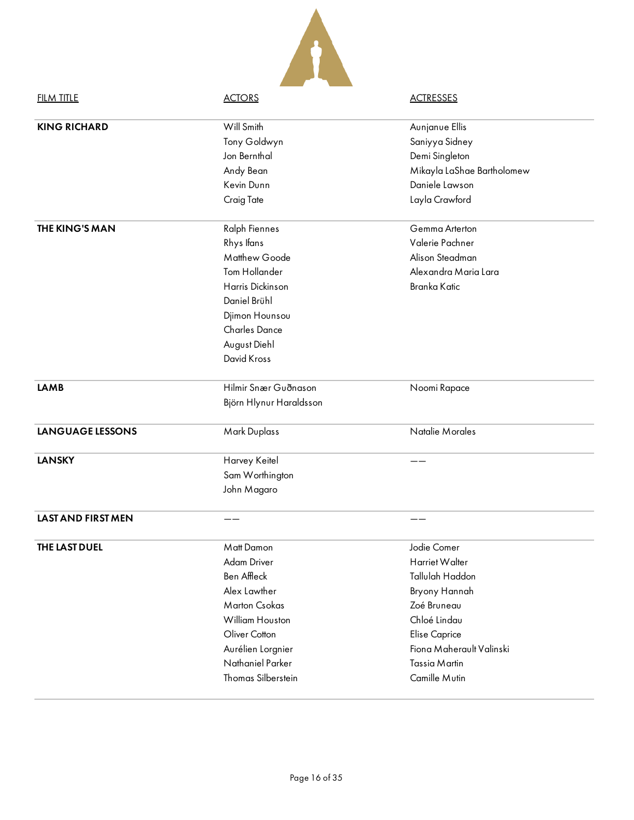| <b>FILM TITLE</b>         | <b>ACTORS</b>           | <b>ACTRESSES</b>           |  |  |
|---------------------------|-------------------------|----------------------------|--|--|
| <b>KING RICHARD</b>       | Will Smith              | Aunjanue Ellis             |  |  |
|                           | Tony Goldwyn            | Saniyya Sidney             |  |  |
|                           | Jon Bernthal            | Demi Singleton             |  |  |
|                           | Andy Bean               | Mikayla LaShae Bartholomew |  |  |
|                           | Kevin Dunn              | Daniele Lawson             |  |  |
|                           | Craig Tate              | Layla Crawford             |  |  |
| <b>THE KING'S MAN</b>     | <b>Ralph Fiennes</b>    | Gemma Arterton             |  |  |
|                           | Rhys Ifans              | Valerie Pachner            |  |  |
|                           | Matthew Goode           | Alison Steadman            |  |  |
|                           | Tom Hollander           | Alexandra Maria Lara       |  |  |
|                           | Harris Dickinson        | <b>Branka Katic</b>        |  |  |
|                           | Daniel Brühl            |                            |  |  |
|                           | Djimon Hounsou          |                            |  |  |
|                           | <b>Charles Dance</b>    |                            |  |  |
|                           | August Diehl            |                            |  |  |
|                           | <b>David Kross</b>      |                            |  |  |
| <b>LAMB</b>               | Hilmir Snær Guðnason    | Noomi Rapace               |  |  |
|                           | Björn Hlynur Haraldsson |                            |  |  |
| LANGUAGE LESSONS          | Mark Duplass            | Natalie Morales            |  |  |
| <b>LANSKY</b>             | Harvey Keitel           |                            |  |  |
|                           | Sam Worthington         |                            |  |  |
|                           | John Magaro             |                            |  |  |
| <b>LAST AND FIRST MEN</b> |                         |                            |  |  |
| THE LAST DUEL             | Matt Damon              | Jodie Comer                |  |  |
|                           | Adam Driver             | Harriet Walter             |  |  |
|                           | <b>Ben Affleck</b>      | Tallulah Haddon            |  |  |
|                           | Alex Lawther            | Bryony Hannah              |  |  |
|                           | <b>Marton Csokas</b>    | Zoé Bruneau                |  |  |
|                           | William Houston         | Chloé Lindau               |  |  |
|                           | Oliver Cotton           | <b>Elise Caprice</b>       |  |  |
|                           | Aurélien Lorgnier       | Fiona Maherault Valinski   |  |  |
|                           | Nathaniel Parker        | <b>Tassia Martin</b>       |  |  |
|                           | Thomas Silberstein      | Camille Mutin              |  |  |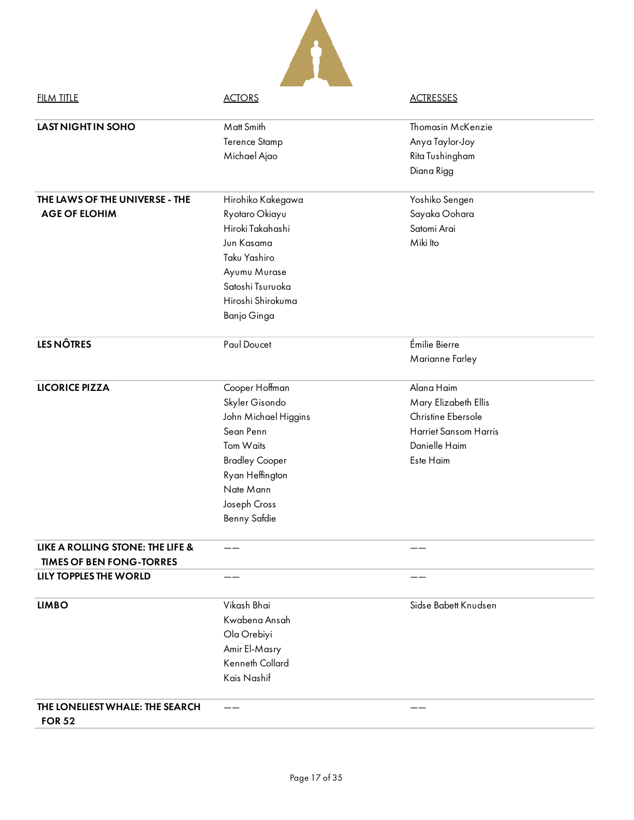| <b>FILM TITLE</b>                                                   | <b>ACTORS</b>         | <b>ACTRESSES</b>      |
|---------------------------------------------------------------------|-----------------------|-----------------------|
| <b>LAST NIGHT IN SOHO</b>                                           | Matt Smith            | Thomasin McKenzie     |
|                                                                     | <b>Terence Stamp</b>  | Anya Taylor-Joy       |
|                                                                     | Michael Ajao          | Rita Tushingham       |
|                                                                     |                       | Diana Rigg            |
| THE LAWS OF THE UNIVERSE - THE                                      | Hirohiko Kakegawa     | Yoshiko Sengen        |
| <b>AGE OF ELOHIM</b>                                                | Ryotaro Okiayu        | Sayaka Oohara         |
|                                                                     | Hiroki Takahashi      | Satomi Arai           |
|                                                                     | Jun Kasama            | Miki Ito              |
|                                                                     | <b>Taku Yashiro</b>   |                       |
|                                                                     | Ayumu Murase          |                       |
|                                                                     | Satoshi Tsuruoka      |                       |
|                                                                     | Hiroshi Shirokuma     |                       |
|                                                                     | <b>Banjo Ginga</b>    |                       |
| <b>LES NÔTRES</b>                                                   | Paul Doucet           | Émilie Bierre         |
|                                                                     |                       | Marianne Farley       |
|                                                                     |                       |                       |
| <b>LICORICE PIZZA</b>                                               | Cooper Hoffman        | Alana Haim            |
|                                                                     | Skyler Gisondo        | Mary Elizabeth Ellis  |
|                                                                     | John Michael Higgins  | Christine Ebersole    |
|                                                                     | Sean Penn             | Harriet Sansom Harris |
|                                                                     | Tom Waits             | Danielle Haim         |
|                                                                     | <b>Bradley Cooper</b> | Este Haim             |
|                                                                     | Ryan Heffington       |                       |
|                                                                     | Nate Mann             |                       |
|                                                                     | Joseph Cross          |                       |
|                                                                     | Benny Safdie          |                       |
| LIKE A ROLLING STONE: THE LIFE &<br><b>TIMES OF BEN FONG-TORRES</b> |                       |                       |
| LILY TOPPLES THE WORLD                                              |                       |                       |
| <b>LIMBO</b>                                                        | Vikash Bhai           | Sidse Babett Knudsen  |
|                                                                     | Kwabena Ansah         |                       |
|                                                                     | Ola Orebiyi           |                       |
|                                                                     | Amir El-Masry         |                       |
|                                                                     | Kenneth Collard       |                       |
|                                                                     | Kais Nashif           |                       |
| THE LONELIEST WHALE: THE SEARCH<br><b>FOR 52</b>                    |                       |                       |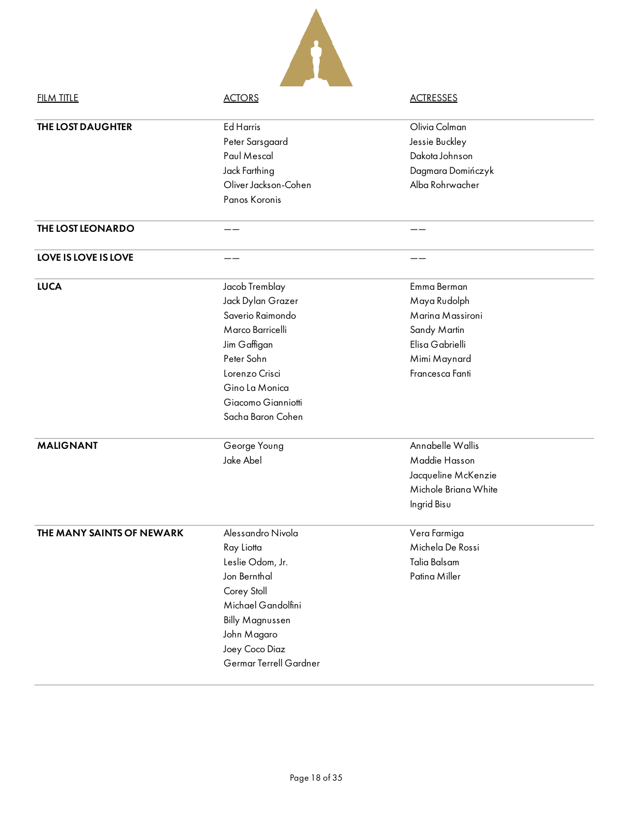| <b>FILM TITLE</b>         | <b>ACTORS</b>                                                                                                                                                                                 | <b>ACTRESSES</b>                                                                                                      |  |
|---------------------------|-----------------------------------------------------------------------------------------------------------------------------------------------------------------------------------------------|-----------------------------------------------------------------------------------------------------------------------|--|
| <b>THE LOST DAUGHTER</b>  | <b>Ed Harris</b><br>Peter Sarsgaard<br>Paul Mescal<br>Jack Farthing<br>Oliver Jackson-Cohen<br>Panos Koronis                                                                                  | Olivia Colman<br>Jessie Buckley<br>Dakota Johnson<br>Dagmara Domińczyk<br>Alba Rohrwacher                             |  |
| THE LOST LEONARDO         |                                                                                                                                                                                               |                                                                                                                       |  |
| LOVE IS LOVE IS LOVE      |                                                                                                                                                                                               |                                                                                                                       |  |
| <b>LUCA</b>               | Jacob Tremblay<br>Jack Dylan Grazer<br>Saverio Raimondo<br>Marco Barricelli<br>Jim Gaffigan<br>Peter Sohn<br>Lorenzo Crisci<br>Gino La Monica<br>Giacomo Gianniotti<br>Sacha Baron Cohen      | Emma Berman<br>Maya Rudolph<br>Marina Massironi<br>Sandy Martin<br>Elisa Gabrielli<br>Mimi Maynard<br>Francesca Fanti |  |
| <b>MALIGNANT</b>          | George Young<br>Jake Abel                                                                                                                                                                     | Annabelle Wallis<br>Maddie Hasson<br>Jacqueline McKenzie<br>Michole Briana White<br>Ingrid Bisu                       |  |
| THE MANY SAINTS OF NEWARK | Alessandro Nivola<br>Ray Liotta<br>Leslie Odom, Jr.<br>Jon Bernthal<br>Corey Stoll<br>Michael Gandolfini<br><b>Billy Magnussen</b><br>John Magaro<br>Joey Coco Diaz<br>Germar Terrell Gardner | Vera Farmiga<br>Michela De Rossi<br><b>Talia Balsam</b><br>Patina Miller                                              |  |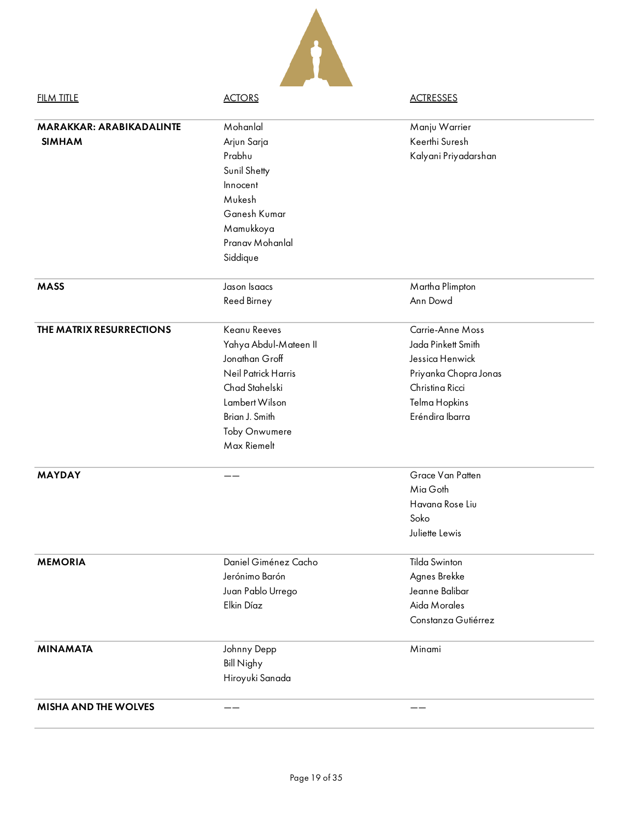| <b>FILM TITLE</b>                                | <b>ACTORS</b>                                                                                                                                                        | <b>ACTRESSES</b>                                                                                                                          |
|--------------------------------------------------|----------------------------------------------------------------------------------------------------------------------------------------------------------------------|-------------------------------------------------------------------------------------------------------------------------------------------|
| <b>MARAKKAR: ARABIKADALINTE</b><br><b>SIMHAM</b> | Mohanlal<br>Arjun Sarja<br>Prabhu<br>Sunil Shetty<br>Innocent<br>Mukesh<br>Ganesh Kumar<br>Mamukkoya<br>Pranav Mohanlal<br>Siddique                                  | Manju Warrier<br>Keerthi Suresh<br>Kalyani Priyadarshan                                                                                   |
| <b>MASS</b>                                      | Jason Isaacs<br>Reed Birney                                                                                                                                          | Martha Plimpton<br>Ann Dowd                                                                                                               |
| THE MATRIX RESURRECTIONS                         | Keanu Reeves<br>Yahya Abdul-Mateen II<br>Jonathan Groff<br>Neil Patrick Harris<br>Chad Stahelski<br>Lambert Wilson<br>Brian J. Smith<br>Toby Onwumere<br>Max Riemelt | Carrie-Anne Moss<br>Jada Pinkett Smith<br>Jessica Henwick<br>Priyanka Chopra Jonas<br>Christina Ricci<br>Telma Hopkins<br>Eréndira Ibarra |
| <b>MAYDAY</b>                                    |                                                                                                                                                                      | Grace Van Patten<br>Mia Goth<br>Havana Rose Liu<br>Soko<br>Juliette Lewis                                                                 |
| <b>MEMORIA</b>                                   | Daniel Giménez Cacho<br>Jerónimo Barón<br>Juan Pablo Urrego<br>Elkin Díaz                                                                                            | <b>Tilda Swinton</b><br>Agnes Brekke<br>Jeanne Balibar<br>Aida Morales<br>Constanza Gutiérrez                                             |
| <b>MINAMATA</b>                                  | Johnny Depp<br><b>Bill Nighy</b><br>Hiroyuki Sanada                                                                                                                  | Minami                                                                                                                                    |
| <b>MISHA AND THE WOLVES</b>                      |                                                                                                                                                                      |                                                                                                                                           |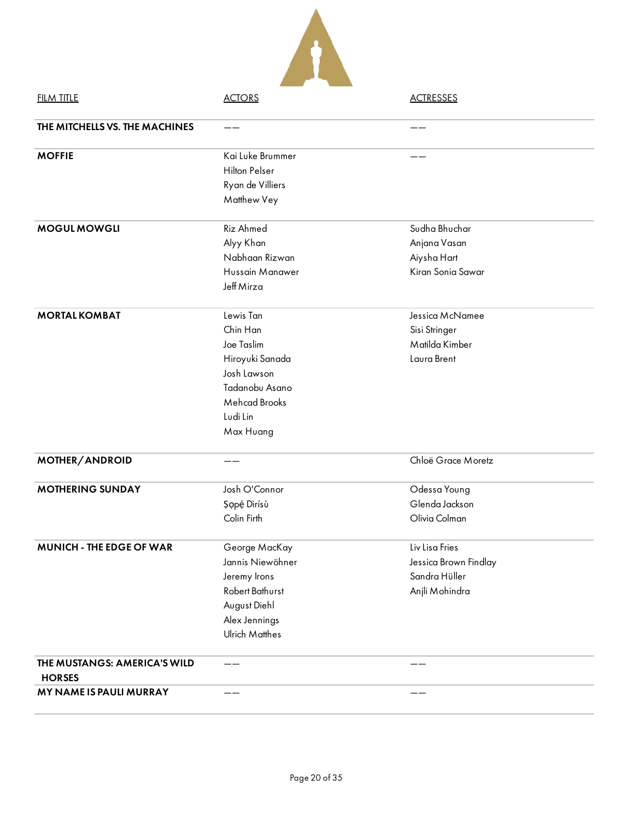

| <b>FILM TITLE</b>               | <b>ACTORS</b>         | <b>ACTRESSES</b>      |
|---------------------------------|-----------------------|-----------------------|
| THE MITCHELLS VS. THE MACHINES  |                       |                       |
| <b>MOFFIE</b>                   | Kai Luke Brummer      |                       |
|                                 | <b>Hilton Pelser</b>  |                       |
|                                 | Ryan de Villiers      |                       |
|                                 | Matthew Vey           |                       |
| <b>MOGUL MOWGLI</b>             | Riz Ahmed             | Sudha Bhuchar         |
|                                 | Alyy Khan             | Anjana Vasan          |
|                                 | Nabhaan Rizwan        | Aiysha Hart           |
|                                 | Hussain Manawer       | Kiran Sonia Sawar     |
|                                 | Jeff Mirza            |                       |
| <b>MORTAL KOMBAT</b>            | Lewis Tan             | Jessica McNamee       |
|                                 | Chin Han              | Sisi Stringer         |
|                                 | Joe Taslim            | Matilda Kimber        |
|                                 | Hiroyuki Sanada       | Laura Brent           |
|                                 | Josh Lawson           |                       |
|                                 | Tadanobu Asano        |                       |
|                                 | Mehcad Brooks         |                       |
|                                 | Ludi Lin              |                       |
|                                 | Max Huang             |                       |
| MOTHER/ANDROID                  |                       | Chloë Grace Moretz    |
| <b>MOTHERING SUNDAY</b>         | Josh O'Connor         | Odessa Young          |
|                                 | Şọpé Dìrísù           | Glenda Jackson        |
|                                 | Colin Firth           | Olivia Colman         |
| <b>MUNICH - THE EDGE OF WAR</b> | George MacKay         | Liv Lisa Fries        |
|                                 | Jannis Niewöhner      | Jessica Brown Findlay |
|                                 | Jeremy Irons          | Sandra Hüller         |
|                                 | Robert Bathurst       | Anjli Mohindra        |
|                                 | August Diehl          |                       |
|                                 | Alex Jennings         |                       |
|                                 | <b>Ulrich Matthes</b> |                       |
| THE MUSTANGS: AMERICA'S WILD    |                       |                       |
| <b>HORSES</b>                   |                       |                       |
| MY NAME IS PAULI MURRAY         |                       |                       |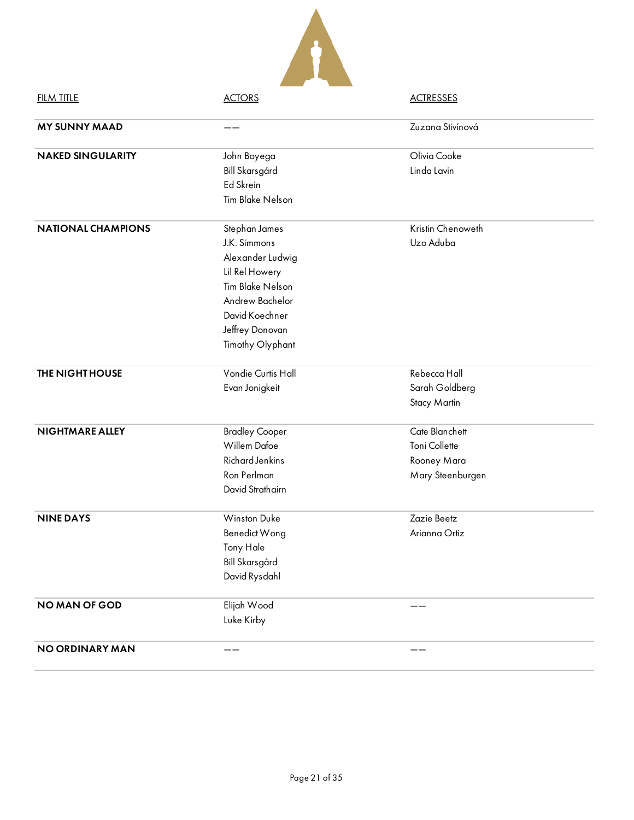| <b>FILM TITLE</b>         | <b>ACTORS</b>          | <b>ACTRESSES</b>  |
|---------------------------|------------------------|-------------------|
| <b>MY SUNNY MAAD</b>      |                        | Zuzana Stivínová  |
| <b>NAKED SINGULARITY</b>  | John Boyega            | Olivia Cooke      |
|                           | Bill Skarsgård         | Linda Lavin       |
|                           | Ed Skrein              |                   |
|                           | Tim Blake Nelson       |                   |
| <b>NATIONAL CHAMPIONS</b> | Stephan James          | Kristin Chenoweth |
|                           | J.K. Simmons           | Uzo Aduba         |
|                           | Alexander Ludwig       |                   |
|                           | Lil Rel Howery         |                   |
|                           | Tim Blake Nelson       |                   |
|                           | Andrew Bachelor        |                   |
|                           | David Koechner         |                   |
|                           | Jeffrey Donovan        |                   |
|                           | Timothy Olyphant       |                   |
| <b>THE NIGHT HOUSE</b>    | Vondie Curtis Hall     | Rebecca Hall      |
|                           | Evan Jonigkeit         | Sarah Goldberg    |
|                           |                        | Stacy Martin      |
| <b>NIGHTMARE ALLEY</b>    | <b>Bradley Cooper</b>  | Cate Blanchett    |
|                           | Willem Dafoe           | Toni Collette     |
|                           | <b>Richard Jenkins</b> | Rooney Mara       |
|                           | Ron Perlman            | Mary Steenburgen  |
|                           | David Strathairn       |                   |
| <b>NINE DAYS</b>          | Winston Duke           | Zazie Beetz       |
|                           | <b>Benedict Wong</b>   | Arianna Ortiz     |
|                           | <b>Tony Hale</b>       |                   |
|                           | Bill Skarsgård         |                   |
|                           | David Rysdahl          |                   |
| <b>NO MAN OF GOD</b>      | Elijah Wood            |                   |
|                           | Luke Kirby             |                   |
| <b>NO ORDINARY MAN</b>    |                        |                   |
|                           |                        |                   |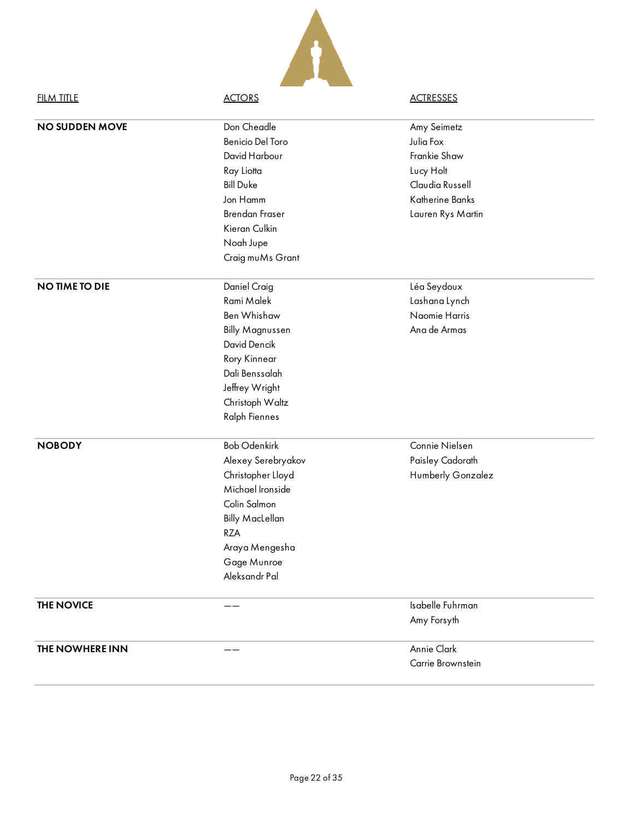| <b>FILM TITLE</b>     | <b>ACTORS</b>                                                                                                                                                                                | <b>ACTRESSES</b>                                                                                                 |
|-----------------------|----------------------------------------------------------------------------------------------------------------------------------------------------------------------------------------------|------------------------------------------------------------------------------------------------------------------|
| <b>NO SUDDEN MOVE</b> | Don Cheadle<br><b>Benicio Del Toro</b><br>David Harbour<br>Ray Liotta<br><b>Bill Duke</b><br>Jon Hamm<br>Brendan Fraser<br>Kieran Culkin<br>Noah Jupe<br>Craig muMs Grant                    | Amy Seimetz<br>Julia Fox<br>Frankie Shaw<br>Lucy Holt<br>Claudia Russell<br>Katherine Banks<br>Lauren Rys Martin |
| <b>NO TIME TO DIE</b> | Daniel Craig<br>Rami Malek<br>Ben Whishaw<br><b>Billy Magnussen</b><br>David Dencik<br><b>Rory Kinnear</b><br>Dali Benssalah<br>Jeffrey Wright<br>Christoph Waltz<br>Ralph Fiennes           | Léa Seydoux<br>Lashana Lynch<br>Naomie Harris<br>Ana de Armas                                                    |
| <b>NOBODY</b>         | <b>Bob Odenkirk</b><br>Alexey Serebryakov<br>Christopher Lloyd<br>Michael Ironside<br>Colin Salmon<br><b>Billy MacLellan</b><br><b>RZA</b><br>Araya Mengesha<br>Gage Munroe<br>Aleksandr Pal | Connie Nielsen<br>Paisley Cadorath<br>Humberly Gonzalez                                                          |
| <b>THE NOVICE</b>     |                                                                                                                                                                                              | Isabelle Fuhrman<br>Amy Forsyth                                                                                  |
| THE NOWHERE INN       |                                                                                                                                                                                              | Annie Clark<br>Carrie Brownstein                                                                                 |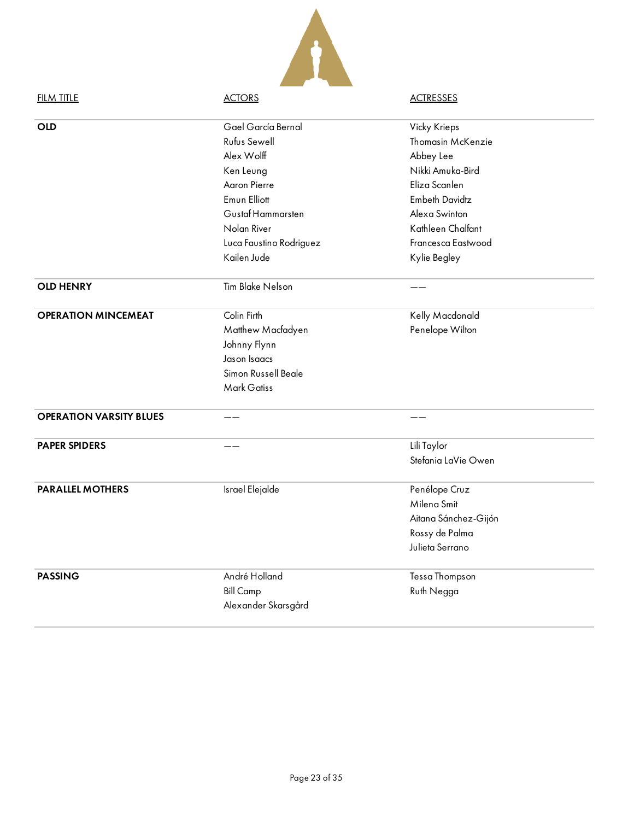| <b>FILM TITLE</b>              | <b>ACTORS</b>           | <b>ACTRESSES</b>      |  |
|--------------------------------|-------------------------|-----------------------|--|
| <b>OLD</b>                     | Gael García Bernal      | Vicky Krieps          |  |
|                                | Rufus Sewell            | Thomasin McKenzie     |  |
|                                | Alex Wolff              | Abbey Lee             |  |
|                                | Ken Leung               | Nikki Amuka-Bird      |  |
|                                | Aaron Pierre            | Eliza Scanlen         |  |
|                                | Emun Elliott            | <b>Embeth Davidtz</b> |  |
|                                | Gustaf Hammarsten       | Alexa Swinton         |  |
|                                | Nolan River             | Kathleen Chalfant     |  |
|                                | Luca Faustino Rodriguez | Francesca Eastwood    |  |
|                                | Kailen Jude             | Kylie Begley          |  |
| <b>OLD HENRY</b>               | <b>Tim Blake Nelson</b> |                       |  |
| <b>OPERATION MINCEMEAT</b>     | Colin Firth             | Kelly Macdonald       |  |
|                                | Matthew Macfadyen       | Penelope Wilton       |  |
|                                | Johnny Flynn            |                       |  |
|                                | Jason Isaacs            |                       |  |
|                                | Simon Russell Beale     |                       |  |
|                                | <b>Mark Gatiss</b>      |                       |  |
| <b>OPERATION VARSITY BLUES</b> |                         |                       |  |
| <b>PAPER SPIDERS</b>           |                         | Lili Taylor           |  |
|                                |                         | Stefania LaVie Owen   |  |
| <b>PARALLEL MOTHERS</b>        | Israel Elejalde         | Penélope Cruz         |  |
|                                |                         | Milena Smit           |  |
|                                |                         | Aitana Sánchez-Gijón  |  |
|                                |                         | Rossy de Palma        |  |
|                                |                         | Julieta Serrano       |  |
| <b>PASSING</b>                 | André Holland           | Tessa Thompson        |  |
|                                | <b>Bill Camp</b>        | Ruth Negga            |  |
|                                | Alexander Skarsgård     |                       |  |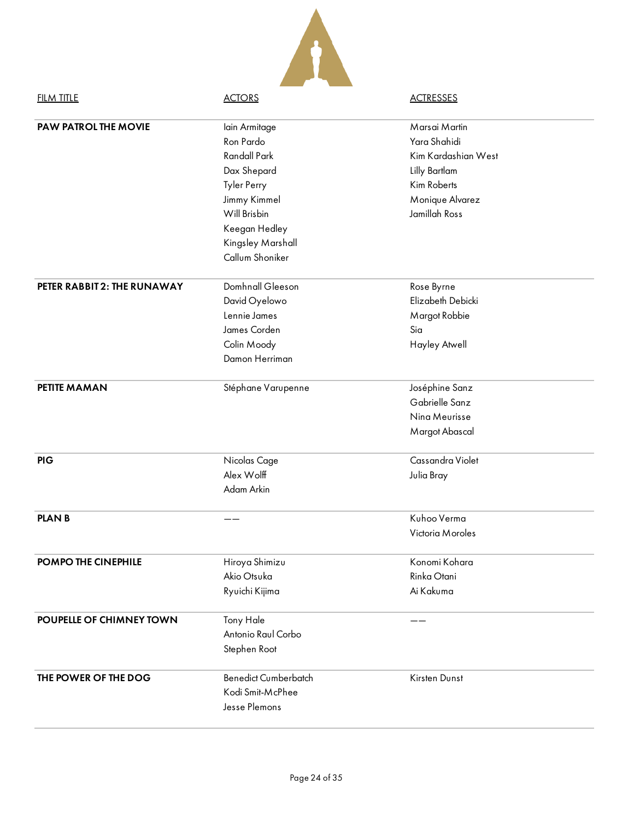| <b>FILM TITLE</b>           | <b>ACTORS</b>                                                                                                                                                                   | <b>ACTRESSES</b>                                                                                                                |
|-----------------------------|---------------------------------------------------------------------------------------------------------------------------------------------------------------------------------|---------------------------------------------------------------------------------------------------------------------------------|
| <b>PAW PATROL THE MOVIE</b> | lain Armitage<br>Ron Pardo<br><b>Randall Park</b><br>Dax Shepard<br><b>Tyler Perry</b><br>Jimmy Kimmel<br>Will Brisbin<br>Keegan Hedley<br>Kingsley Marshall<br>Callum Shoniker | Marsai Martin<br>Yara Shahidi<br>Kim Kardashian West<br>Lilly Bartlam<br>Kim Roberts<br>Monique Alvarez<br><b>Jamillah Ross</b> |
| PETER RABBIT 2: THE RUNAWAY | Domhnall Gleeson<br>David Oyelowo<br>Lennie James<br>James Corden<br>Colin Moody<br>Damon Herriman                                                                              | Rose Byrne<br>Elizabeth Debicki<br>Margot Robbie<br>Sia<br>Hayley Atwell                                                        |
| PETITE MAMAN                | Stéphane Varupenne                                                                                                                                                              | Joséphine Sanz<br>Gabrielle Sanz<br>Nina Meurisse<br>Margot Abascal                                                             |
| <b>PIG</b>                  | Nicolas Cage<br>Alex Wolff<br>Adam Arkin                                                                                                                                        | Cassandra Violet<br>Julia Bray                                                                                                  |
| <b>PLANB</b>                |                                                                                                                                                                                 | Kuhoo Verma<br>Victoria Moroles                                                                                                 |
| POMPO THE CINEPHILE         | Hiroya Shimizu<br>Akio Otsuka<br>Ryuichi Kijima                                                                                                                                 | Konomi Kohara<br>Rinka Otani<br>Ai Kakuma                                                                                       |
| POUPELLE OF CHIMNEY TOWN    | Tony Hale<br>Antonio Raul Corbo<br>Stephen Root                                                                                                                                 |                                                                                                                                 |
| THE POWER OF THE DOG        | <b>Benedict Cumberbatch</b><br>Kodi Smit-McPhee<br>Jesse Plemons                                                                                                                | Kirsten Dunst                                                                                                                   |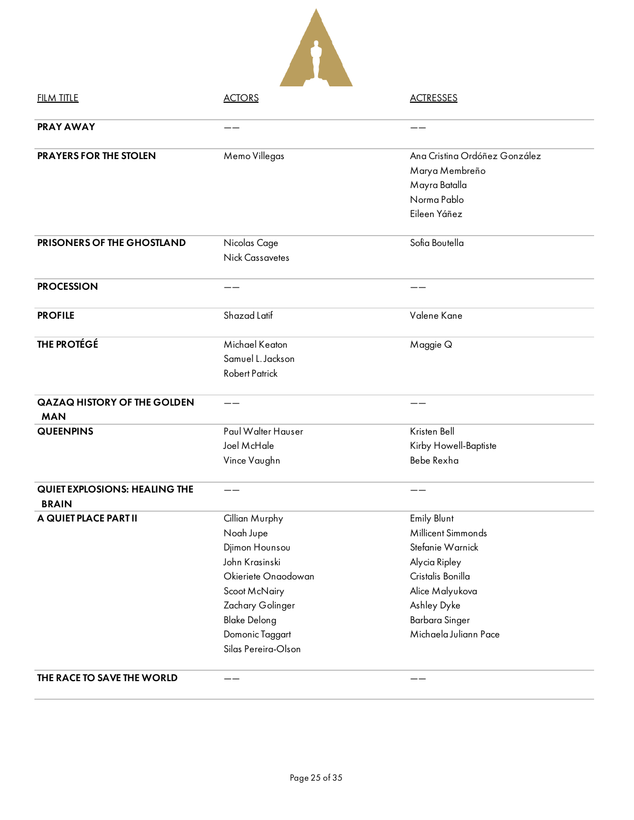

| <u>FILM TITLE</u>                                    | <b>ACTORS</b>          | <u>ACTRESSES</u>              |
|------------------------------------------------------|------------------------|-------------------------------|
| PRAY AWAY                                            |                        |                               |
| PRAYERS FOR THE STOLEN                               | Memo Villegas          | Ana Cristina Ordóñez González |
|                                                      |                        | Marya Membreño                |
|                                                      |                        | Mayra Batalla                 |
|                                                      |                        | Norma Pablo                   |
|                                                      |                        | Eileen Yáñez                  |
| PRISONERS OF THE GHOSTLAND                           | Nicolas Cage           | Sofia Boutella                |
|                                                      | <b>Nick Cassavetes</b> |                               |
| <b>PROCESSION</b>                                    |                        |                               |
| <b>PROFILE</b>                                       | Shazad Latif           | Valene Kane                   |
| <b>THE PROTÉGÉ</b>                                   | Michael Keaton         | Maggie Q                      |
|                                                      | Samuel L. Jackson      |                               |
|                                                      | <b>Robert Patrick</b>  |                               |
| <b>QAZAQ HISTORY OF THE GOLDEN</b><br><b>MAN</b>     |                        |                               |
| <b>QUEENPINS</b>                                     | Paul Walter Hauser     | Kristen Bell                  |
|                                                      | Joel McHale            | Kirby Howell-Baptiste         |
|                                                      | Vince Vaughn           | Bebe Rexha                    |
| <b>QUIET EXPLOSIONS: HEALING THE</b><br><b>BRAIN</b> | ——                     |                               |
| A QUIET PLACE PART II                                | Cillian Murphy         | <b>Emily Blunt</b>            |
|                                                      | Noah Jupe              | Millicent Simmonds            |
|                                                      | Djimon Hounsou         | Stefanie Warnick              |
|                                                      | John Krasinski         | Alycia Ripley                 |
|                                                      | Okieriete Onaodowan    | Cristalis Bonilla             |
|                                                      | Scoot McNairy          | Alice Malyukova               |
|                                                      | Zachary Golinger       | Ashley Dyke                   |
|                                                      | <b>Blake Delong</b>    | Barbara Singer                |
|                                                      | Domonic Taggart        | Michaela Juliann Pace         |
|                                                      | Silas Pereira-Olson    |                               |
| THE RACE TO SAVE THE WORLD                           |                        |                               |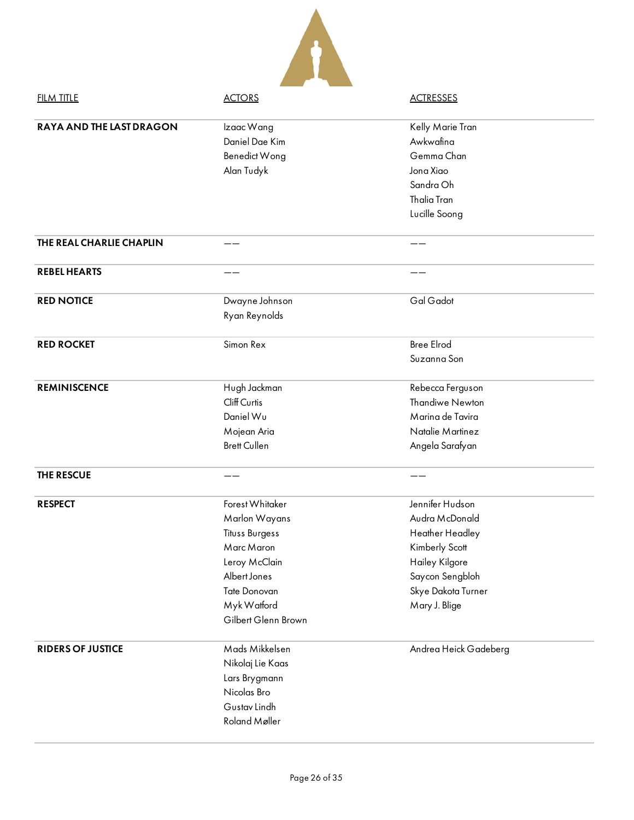| <b>FILM TITLE</b>               | <b>ACTORS</b>         | <b>ACTRESSES</b>       |
|---------------------------------|-----------------------|------------------------|
| <b>RAYA AND THE LAST DRAGON</b> | Izaac Wang            | Kelly Marie Tran       |
|                                 | Daniel Dae Kim        | Awkwafina              |
|                                 | Benedict Wong         | Gemma Chan             |
|                                 | Alan Tudyk            | Jona Xiao              |
|                                 |                       | Sandra Oh              |
|                                 |                       | <b>Thalia Tran</b>     |
|                                 |                       | Lucille Soong          |
| THE REAL CHARLIE CHAPLIN        |                       |                        |
| <b>REBEL HEARTS</b>             |                       |                        |
| <b>RED NOTICE</b>               | Dwayne Johnson        | Gal Gadot              |
|                                 | Ryan Reynolds         |                        |
| <b>RED ROCKET</b>               | Simon Rex             | <b>Bree Elrod</b>      |
|                                 |                       | Suzanna Son            |
| <b>REMINISCENCE</b>             | Hugh Jackman          | Rebecca Ferguson       |
|                                 | Cliff Curtis          | <b>Thandiwe Newton</b> |
|                                 | Daniel Wu             | Marina de Tavira       |
|                                 | Mojean Aria           | Natalie Martinez       |
|                                 | <b>Brett Cullen</b>   | Angela Sarafyan        |
| <b>THE RESCUE</b>               |                       |                        |
| <b>RESPECT</b>                  | Forest Whitaker       | Jennifer Hudson        |
|                                 | Marlon Wayans         | Audra McDonald         |
|                                 | <b>Tituss Burgess</b> | Heather Headley        |
|                                 | Marc Maron            | Kimberly Scott         |
|                                 | Leroy McClain         | Hailey Kilgore         |
|                                 | Albert Jones          | Saycon Sengbloh        |
|                                 | Tate Donovan          | Skye Dakota Turner     |
|                                 | Myk Watford           | Mary J. Blige          |
|                                 | Gilbert Glenn Brown   |                        |
| <b>RIDERS OF JUSTICE</b>        | Mads Mikkelsen        | Andrea Heick Gadeberg  |
|                                 | Nikolaj Lie Kaas      |                        |
|                                 | Lars Brygmann         |                        |
|                                 | Nicolas Bro           |                        |
|                                 | Gustav Lindh          |                        |
|                                 | Roland Møller         |                        |
|                                 |                       |                        |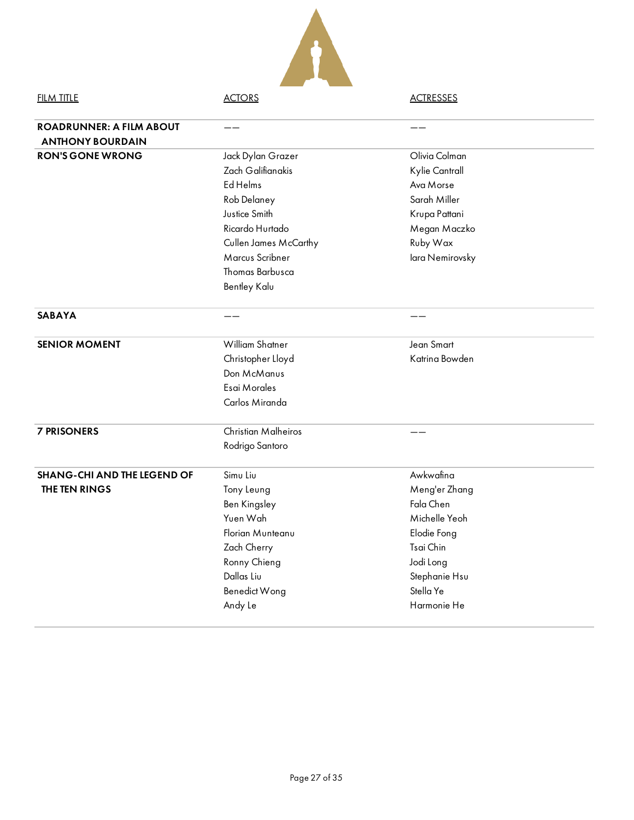| <u>FILM TITLE</u>                  | <b>ACTORS</b>              | <b>ACTRESSES</b> |  |
|------------------------------------|----------------------------|------------------|--|
| <b>ROADRUNNER: A FILM ABOUT</b>    |                            |                  |  |
| <b>ANTHONY BOURDAIN</b>            |                            |                  |  |
| <b>RON'S GONE WRONG</b>            | Jack Dylan Grazer          | Olivia Colman    |  |
|                                    | Zach Galifianakis          | Kylie Cantrall   |  |
|                                    | Ed Helms                   | Ava Morse        |  |
|                                    | Rob Delaney                | Sarah Miller     |  |
|                                    | Justice Smith              | Krupa Pattani    |  |
|                                    | Ricardo Hurtado            | Megan Maczko     |  |
|                                    | Cullen James McCarthy      | Ruby Wax         |  |
|                                    | Marcus Scribner            | lara Nemirovsky  |  |
|                                    | Thomas Barbusca            |                  |  |
|                                    | Bentley Kalu               |                  |  |
| <b>SABAYA</b>                      |                            | ——               |  |
| <b>SENIOR MOMENT</b>               | William Shatner            | Jean Smart       |  |
|                                    | Christopher Lloyd          | Katrina Bowden   |  |
|                                    | Don McManus                |                  |  |
|                                    | Esai Morales               |                  |  |
|                                    | Carlos Miranda             |                  |  |
| <b>7 PRISONERS</b>                 | <b>Christian Malheiros</b> |                  |  |
|                                    | Rodrigo Santoro            |                  |  |
| <b>SHANG-CHI AND THE LEGEND OF</b> | Simu Liu                   | Awkwafina        |  |
| THE TEN RINGS                      | Tony Leung                 | Meng'er Zhang    |  |
|                                    | Ben Kingsley               | Fala Chen        |  |
|                                    | Yuen Wah                   | Michelle Yeoh    |  |
|                                    | Florian Munteanu           | Elodie Fong      |  |
|                                    | Zach Cherry                | Tsai Chin        |  |
|                                    | Ronny Chieng               | Jodi Long        |  |
|                                    | Dallas Liu                 | Stephanie Hsu    |  |
|                                    | Benedict Wong              | Stella Ye        |  |
|                                    | Andy Le                    | Harmonie He      |  |
|                                    |                            |                  |  |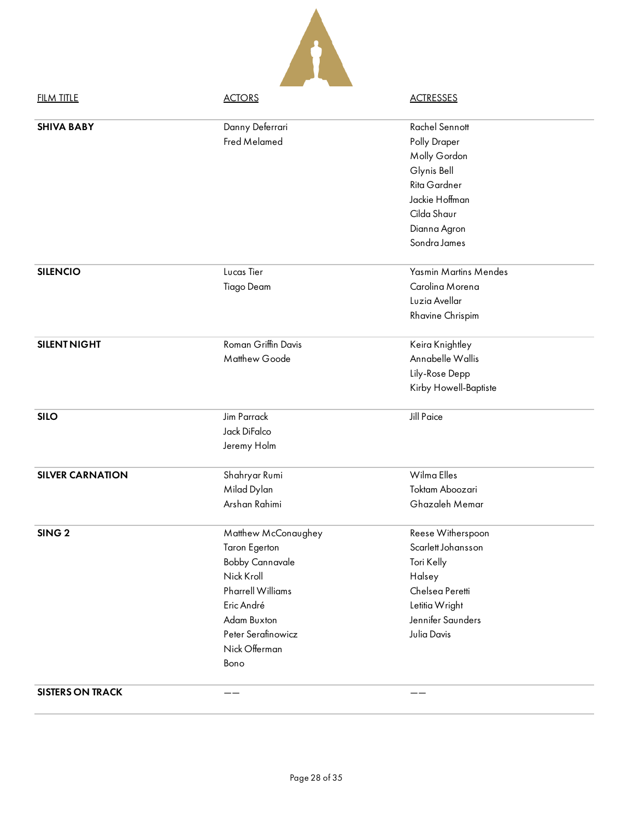| <b>FILM TITLE</b>       | <b>ACTORS</b>                                                                                                                                                                               | <b>ACTRESSES</b>                                                                                                                         |
|-------------------------|---------------------------------------------------------------------------------------------------------------------------------------------------------------------------------------------|------------------------------------------------------------------------------------------------------------------------------------------|
| <b>SHIVA BABY</b>       | Danny Deferrari<br>Fred Melamed                                                                                                                                                             | Rachel Sennott<br>Polly Draper<br>Molly Gordon<br>Glynis Bell<br>Rita Gardner<br>Jackie Hoffman<br>Cilda Shaur<br>Dianna Agron           |
| <b>SILENCIO</b>         | Lucas Tier<br>Tiago Deam                                                                                                                                                                    | Sondra James<br>Yasmin Martins Mendes<br>Carolina Morena<br>Luzia Avellar<br>Rhavine Chrispim                                            |
| <b>SILENT NIGHT</b>     | Roman Griffin Davis<br>Matthew Goode                                                                                                                                                        | Keira Knightley<br>Annabelle Wallis<br>Lily-Rose Depp<br>Kirby Howell-Baptiste                                                           |
| <b>SILO</b>             | Jim Parrack<br>Jack DiFalco<br>Jeremy Holm                                                                                                                                                  | <b>Jill Paice</b>                                                                                                                        |
| <b>SILVER CARNATION</b> | Shahryar Rumi<br>Milad Dylan<br>Arshan Rahimi                                                                                                                                               | Wilma Elles<br>Toktam Aboozari<br>Ghazaleh Memar                                                                                         |
| SING <sub>2</sub>       | Matthew McConaughey<br><b>Taron Egerton</b><br><b>Bobby Cannavale</b><br>Nick Kroll<br><b>Pharrell Williams</b><br>Eric André<br>Adam Buxton<br>Peter Serafinowicz<br>Nick Offerman<br>Bono | Reese Witherspoon<br>Scarlett Johansson<br>Tori Kelly<br>Halsey<br>Chelsea Peretti<br>Letitia Wright<br>Jennifer Saunders<br>Julia Davis |
| <b>SISTERS ON TRACK</b> |                                                                                                                                                                                             |                                                                                                                                          |

Δ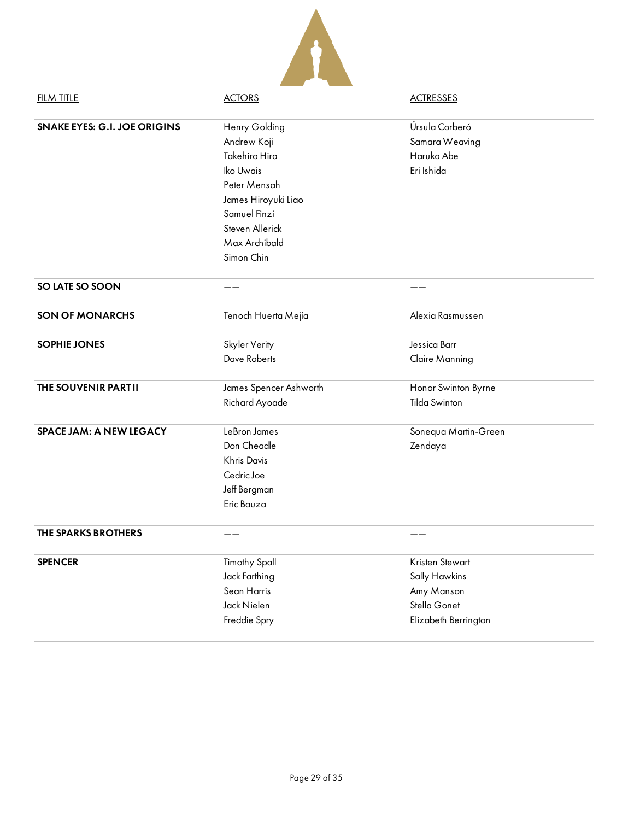| <b>FILM TITLE</b>                   | <b>ACTORS</b>          | <b>ACTRESSES</b>     |
|-------------------------------------|------------------------|----------------------|
| <b>SNAKE EYES: G.I. JOE ORIGINS</b> | Henry Golding          | Úrsula Corberó       |
|                                     | Andrew Koji            | Samara Weaving       |
|                                     | Takehiro Hira          | Haruka Abe           |
|                                     | Iko Uwais              | Eri Ishida           |
|                                     | Peter Mensah           |                      |
|                                     | James Hiroyuki Liao    |                      |
|                                     | Samuel Finzi           |                      |
|                                     | Steven Allerick        |                      |
|                                     | Max Archibald          |                      |
|                                     | Simon Chin             |                      |
|                                     |                        |                      |
| SO LATE SO SOON                     |                        |                      |
| <b>SON OF MONARCHS</b>              | Tenoch Huerta Mejía    | Alexia Rasmussen     |
| <b>SOPHIE JONES</b>                 | Skyler Verity          | Jessica Barr         |
|                                     | <b>Dave Roberts</b>    | Claire Manning       |
| THE SOUVENIR PART II                | James Spencer Ashworth | Honor Swinton Byrne  |
|                                     | Richard Ayoade         | <b>Tilda Swinton</b> |
|                                     |                        |                      |
| <b>SPACE JAM: A NEW LEGACY</b>      | LeBron James           | Sonequa Martin-Green |
|                                     | Don Cheadle            | Zendaya              |
|                                     | Khris Davis            |                      |
|                                     | Cedric Joe             |                      |
|                                     | Jeff Bergman           |                      |
|                                     | Eric Bauza             |                      |
| THE SPARKS BROTHERS                 | ——                     |                      |
|                                     |                        |                      |
| <b>SPENCER</b>                      | <b>Timothy Spall</b>   | Kristen Stewart      |
|                                     | Jack Farthing          | Sally Hawkins        |
|                                     | Sean Harris            | Amy Manson           |
|                                     | Jack Nielen            | Stella Gonet         |
|                                     | Freddie Spry           | Elizabeth Berrington |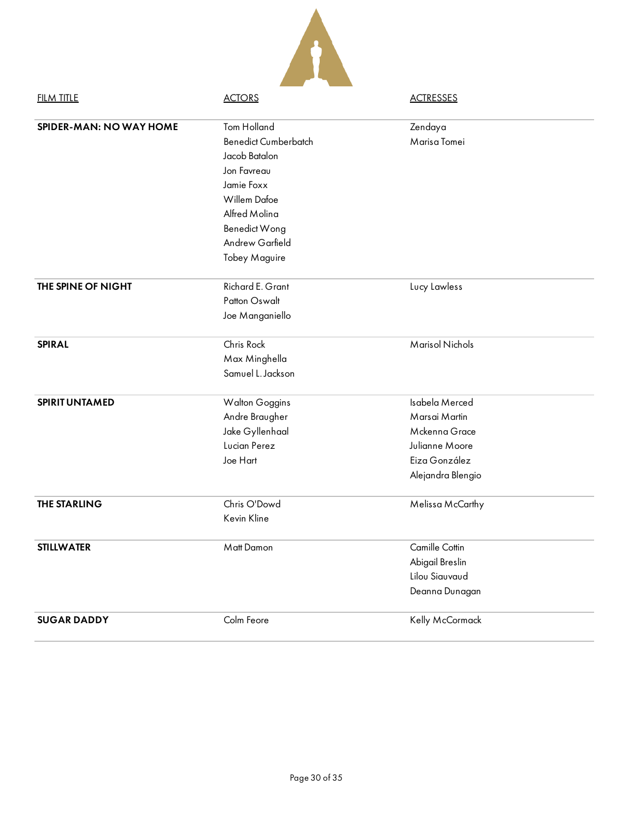| <b>FILM TITLE</b>       | <b>ACTORS</b>               | <b>ACTRESSES</b>       |  |
|-------------------------|-----------------------------|------------------------|--|
| SPIDER-MAN: NO WAY HOME | Tom Holland                 | Zendaya                |  |
|                         | <b>Benedict Cumberbatch</b> | Marisa Tomei           |  |
|                         | Jacob Batalon               |                        |  |
|                         | Jon Favreau                 |                        |  |
|                         | Jamie Foxx                  |                        |  |
|                         | Willem Dafoe                |                        |  |
|                         | Alfred Molina               |                        |  |
|                         | Benedict Wong               |                        |  |
|                         | Andrew Garfield             |                        |  |
|                         | <b>Tobey Maguire</b>        |                        |  |
| THE SPINE OF NIGHT      | Richard E. Grant            | Lucy Lawless           |  |
|                         | Patton Oswalt               |                        |  |
|                         | Joe Manganiello             |                        |  |
| <b>SPIRAL</b>           | Chris Rock                  | <b>Marisol Nichols</b> |  |
|                         | Max Minghella               |                        |  |
|                         | Samuel L. Jackson           |                        |  |
| <b>SPIRIT UNTAMED</b>   | <b>Walton Goggins</b>       | Isabela Merced         |  |
|                         | Andre Braugher              | Marsai Martin          |  |
|                         | Jake Gyllenhaal             | Mckenna Grace          |  |
|                         | Lucian Perez                | Julianne Moore         |  |
|                         | Joe Hart                    | Eiza González          |  |
|                         |                             | Alejandra Blengio      |  |
| <b>THE STARLING</b>     | Chris O'Dowd                | Melissa McCarthy       |  |
|                         | Kevin Kline                 |                        |  |
| <b>STILLWATER</b>       | Matt Damon                  | Camille Cottin         |  |
|                         |                             | Abigail Breslin        |  |
|                         |                             | Lilou Siauvaud         |  |
|                         |                             | Deanna Dunagan         |  |
| <b>SUGAR DADDY</b>      | Colm Feore                  | Kelly McCormack        |  |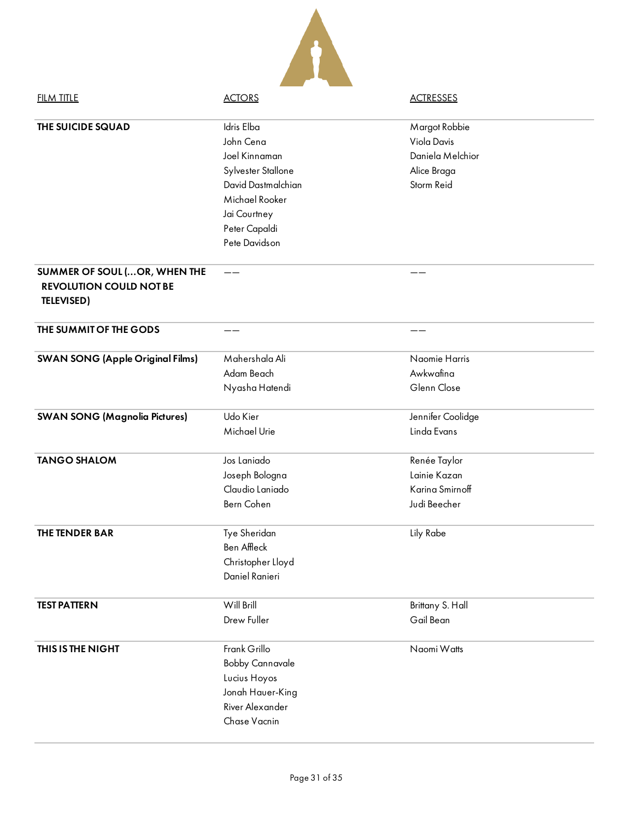| <b>FILM TITLE</b>                                                                    | <b>ACTORS</b>          | <b>ACTRESSES</b>  |
|--------------------------------------------------------------------------------------|------------------------|-------------------|
| THE SUICIDE SQUAD                                                                    | Idris Elba             | Margot Robbie     |
|                                                                                      | John Cena              | Viola Davis       |
|                                                                                      | Joel Kinnaman          | Daniela Melchior  |
|                                                                                      | Sylvester Stallone     | Alice Braga       |
|                                                                                      | David Dastmalchian     | Storm Reid        |
|                                                                                      | Michael Rooker         |                   |
|                                                                                      | Jai Courtney           |                   |
|                                                                                      | Peter Capaldi          |                   |
|                                                                                      | Pete Davidson          |                   |
| SUMMER OF SOUL ( OR, WHEN THE<br><b>REVOLUTION COULD NOT BE</b><br><b>TELEVISED)</b> |                        |                   |
| THE SUMMIT OF THE GODS                                                               | ——                     |                   |
| <b>SWAN SONG (Apple Original Films)</b>                                              | Mahershala Ali         | Naomie Harris     |
|                                                                                      | Adam Beach             | Awkwafina         |
|                                                                                      | Nyasha Hatendi         | Glenn Close       |
| <b>SWAN SONG (Magnolia Pictures)</b>                                                 | Udo Kier               | Jennifer Coolidge |
|                                                                                      | Michael Urie           | Linda Evans       |
| <b>TANGO SHALOM</b>                                                                  | Jos Laniado            | Renée Taylor      |
|                                                                                      | Joseph Bologna         | Lainie Kazan      |
|                                                                                      | Claudio Laniado        | Karina Smirnoff   |
|                                                                                      | Bern Cohen             | Judi Beecher      |
| <b>THE TENDER BAR</b>                                                                | Tye Sheridan           | Lily Rabe         |
|                                                                                      | <b>Ben Affleck</b>     |                   |
|                                                                                      | Christopher Lloyd      |                   |
|                                                                                      | Daniel Ranieri         |                   |
| <b>TEST PATTERN</b>                                                                  | Will Brill             | Brittany S. Hall  |
|                                                                                      | Drew Fuller            | Gail Bean         |
| THIS IS THE NIGHT                                                                    | Frank Grillo           | Naomi Watts       |
|                                                                                      | <b>Bobby Cannavale</b> |                   |
|                                                                                      | Lucius Hoyos           |                   |
|                                                                                      | Jonah Hauer-King       |                   |
|                                                                                      | River Alexander        |                   |
|                                                                                      | Chase Vacnin           |                   |
|                                                                                      |                        |                   |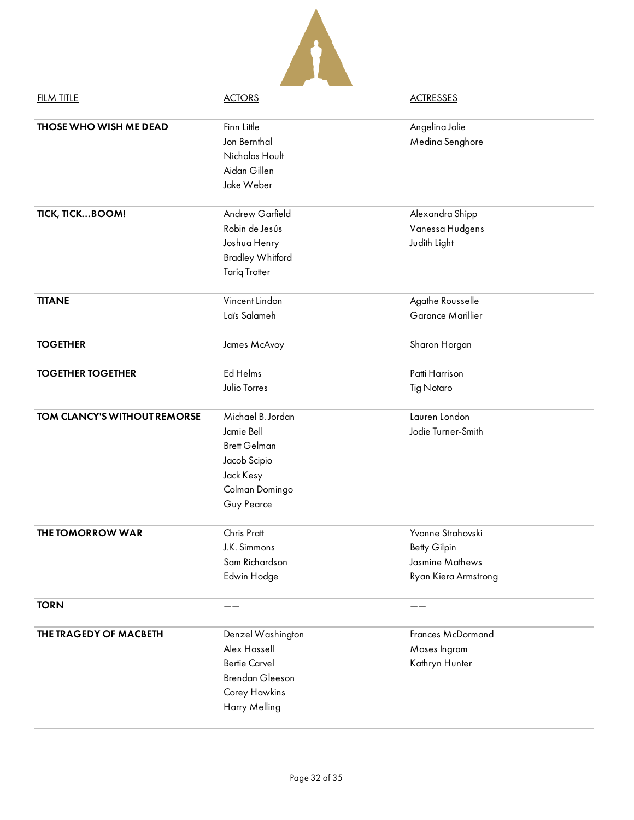| <b>FILM TITLE</b>                   | <b>ACTORS</b>           | <b>ACTRESSES</b>     |
|-------------------------------------|-------------------------|----------------------|
| THOSE WHO WISH ME DEAD              | Finn Little             | Angelina Jolie       |
|                                     | Jon Bernthal            | Medina Senghore      |
|                                     | Nicholas Hoult          |                      |
|                                     | Aidan Gillen            |                      |
|                                     | Jake Weber              |                      |
| TICK, TICKBOOM!                     | Andrew Garfield         | Alexandra Shipp      |
|                                     | Robin de Jesús          | Vanessa Hudgens      |
|                                     | Joshua Henry            | Judith Light         |
|                                     | <b>Bradley Whitford</b> |                      |
|                                     | <b>Tariq Trotter</b>    |                      |
| <b>TITANE</b>                       | Vincent Lindon          | Agathe Rousselle     |
|                                     | Laïs Salameh            | Garance Marillier    |
| <b>TOGETHER</b>                     | James McAvoy            | Sharon Horgan        |
| <b>TOGETHER TOGETHER</b>            | Ed Helms                | Patti Harrison       |
|                                     | Julio Torres            | <b>Tig Notaro</b>    |
| <b>TOM CLANCY'S WITHOUT REMORSE</b> | Michael B. Jordan       | Lauren London        |
|                                     | Jamie Bell              | Jodie Turner-Smith   |
|                                     | <b>Brett Gelman</b>     |                      |
|                                     | Jacob Scipio            |                      |
|                                     | Jack Kesy               |                      |
|                                     | Colman Domingo          |                      |
|                                     | Guy Pearce              |                      |
| <b>THE TOMORROW WAR</b>             | Chris Pratt             | Yvonne Strahovski    |
|                                     | J.K. Simmons            | <b>Betty Gilpin</b>  |
|                                     | Sam Richardson          | Jasmine Mathews      |
|                                     | Edwin Hodge             | Ryan Kiera Armstrong |
| <b>TORN</b>                         |                         |                      |
| THE TRAGEDY OF MACBETH              | Denzel Washington       | Frances McDormand    |
|                                     | Alex Hassell            | Moses Ingram         |
|                                     | <b>Bertie Carvel</b>    | Kathryn Hunter       |
|                                     | Brendan Gleeson         |                      |
|                                     | Corey Hawkins           |                      |
|                                     | Harry Melling           |                      |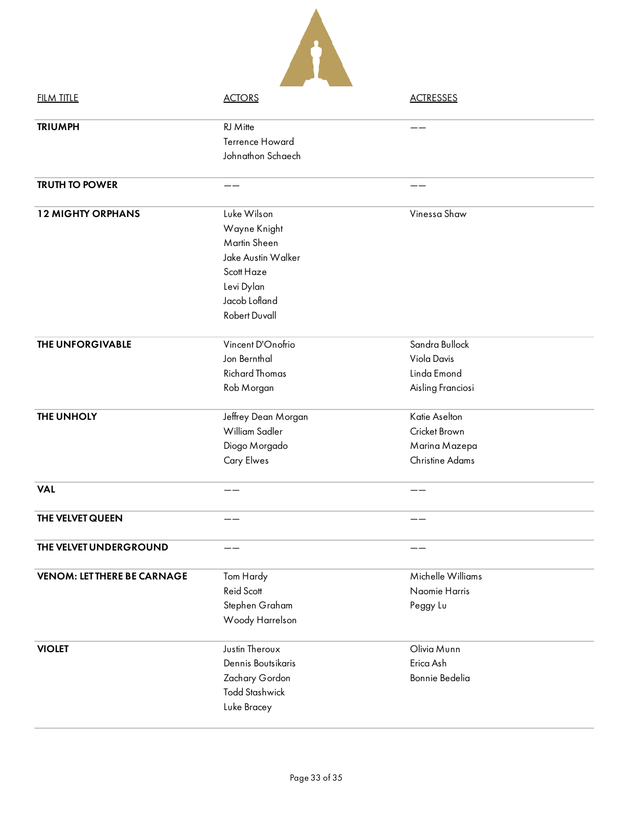| <b>FILM TITLE</b>                  | <b>ACTORS</b>                                                                                  | <b>ACTRESSES</b>                                                   |
|------------------------------------|------------------------------------------------------------------------------------------------|--------------------------------------------------------------------|
| <b>TRIUMPH</b>                     | RJ Mitte                                                                                       |                                                                    |
|                                    | <b>Terrence Howard</b><br>Johnathon Schaech                                                    |                                                                    |
| <b>TRUTH TO POWER</b>              |                                                                                                |                                                                    |
| <b>12 MIGHTY ORPHANS</b>           | Luke Wilson<br>Wayne Knight<br>Martin Sheen                                                    | Vinessa Shaw                                                       |
|                                    | Jake Austin Walker<br>Scott Haze<br>Levi Dylan<br>Jacob Lofland                                |                                                                    |
|                                    | <b>Robert Duvall</b>                                                                           |                                                                    |
| THE UNFORGIVABLE                   | Vincent D'Onofrio<br>Jon Bernthal<br><b>Richard Thomas</b><br>Rob Morgan                       | Sandra Bullock<br>Viola Davis<br>Linda Emond<br>Aisling Franciosi  |
| THE UNHOLY                         | Jeffrey Dean Morgan<br>William Sadler<br>Diogo Morgado<br><b>Cary Elwes</b>                    | Katie Aselton<br>Cricket Brown<br>Marina Mazepa<br>Christine Adams |
| <b>VAL</b>                         |                                                                                                |                                                                    |
| THE VELVET QUEEN                   |                                                                                                |                                                                    |
| THE VELVET UNDERGROUND             |                                                                                                |                                                                    |
| <b>VENOM: LET THERE BE CARNAGE</b> | Tom Hardy<br>Reid Scott<br>Stephen Graham<br>Woody Harrelson                                   | Michelle Williams<br>Naomie Harris<br>Peggy Lu                     |
| <b>VIOLET</b>                      | Justin Theroux<br>Dennis Boutsikaris<br>Zachary Gordon<br><b>Todd Stashwick</b><br>Luke Bracey | Olivia Munn<br>Erica Ash<br>Bonnie Bedelia                         |

Δ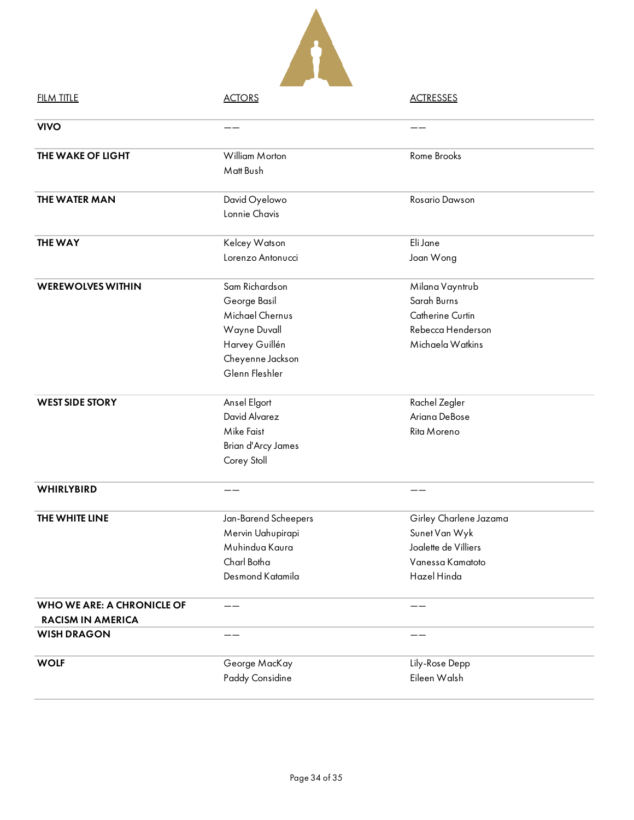

| <u>FILM TITLE</u>          | <u>ACTORS</u>             | <u>ACIRESSES</u>       |
|----------------------------|---------------------------|------------------------|
| <b>VIVO</b>                |                           |                        |
| THE WAKE OF LIGHT          | William Morton            | Rome Brooks            |
|                            | Matt Bush                 |                        |
| <b>THE WATER MAN</b>       | David Oyelowo             | <b>Rosario Dawson</b>  |
|                            | Lonnie Chavis             |                        |
| <b>THE WAY</b>             | Kelcey Watson             | Eli Jane               |
|                            | Lorenzo Antonucci         | Joan Wong              |
| <b>WEREWOLVES WITHIN</b>   | Sam Richardson            | Milana Vayntrub        |
|                            | George Basil              | Sarah Burns            |
|                            | Michael Chernus           | Catherine Curtin       |
|                            | Wayne Duvall              | Rebecca Henderson      |
|                            | Harvey Guillén            | Michaela Watkins       |
|                            | Cheyenne Jackson          |                        |
|                            | Glenn Fleshler            |                        |
| <b>WEST SIDE STORY</b>     | Ansel Elgort              | Rachel Zegler          |
|                            | David Alvarez             | Ariana DeBose          |
|                            | Mike Faist                | Rita Moreno            |
|                            | <b>Brian d'Arcy James</b> |                        |
|                            | Corey Stoll               |                        |
| <b>WHIRLYBIRD</b>          |                           |                        |
| THE WHITE LINE             | Jan-Barend Scheepers      | Girley Charlene Jazama |
|                            | Mervin Uahupirapi         | Sunet Van Wyk          |
|                            | Muhindua Kaura            | Joalette de Villiers   |
|                            | Charl Botha               | Vanessa Kamatoto       |
|                            | Desmond Katamila          | Hazel Hinda            |
| WHO WE ARE: A CHRONICLE OF |                           |                        |
| <b>RACISM IN AMERICA</b>   |                           |                        |
| <b>WISH DRAGON</b>         |                           |                        |
| <b>WOLF</b>                | George MacKay             | Lily-Rose Depp         |
|                            | Paddy Considine           | Eileen Walsh           |